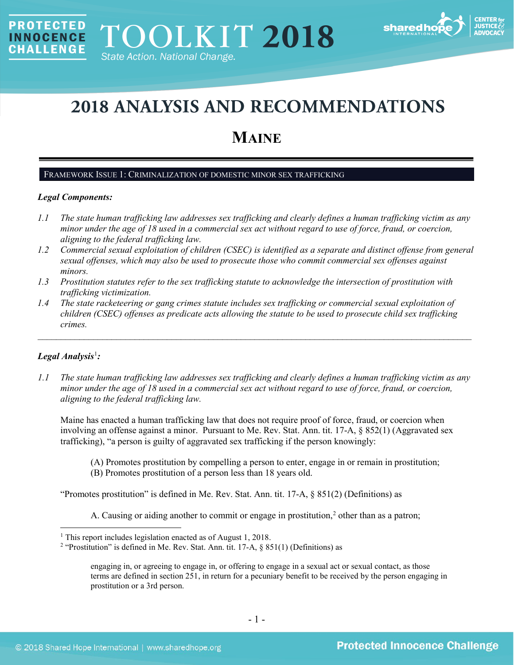

# **2018 ANALYSIS AND RECOMMENDATIONS**

## **MAINE**

#### FRAMEWORK ISSUE 1: CRIMINALIZATION OF DOMESTIC MINOR SEX TRAFFICKING

## *Legal Components:*

**PROTECTED** 

**INNOCENCE CHALLENGE** 

- *1.1 The state human trafficking law addresses sex trafficking and clearly defines a human trafficking victim as any minor under the age of 18 used in a commercial sex act without regard to use of force, fraud, or coercion, aligning to the federal trafficking law.*
- *1.2 Commercial sexual exploitation of children (CSEC) is identified as a separate and distinct offense from general sexual offenses, which may also be used to prosecute those who commit commercial sex offenses against minors.*
- *1.3 Prostitution statutes refer to the sex trafficking statute to acknowledge the intersection of prostitution with trafficking victimization.*
- *1.4 The state racketeering or gang crimes statute includes sex trafficking or commercial sexual exploitation of children (CSEC) offenses as predicate acts allowing the statute to be used to prosecute child sex trafficking crimes.*

\_\_\_\_\_\_\_\_\_\_\_\_\_\_\_\_\_\_\_\_\_\_\_\_\_\_\_\_\_\_\_\_\_\_\_\_\_\_\_\_\_\_\_\_\_\_\_\_\_\_\_\_\_\_\_\_\_\_\_\_\_\_\_\_\_\_\_\_\_\_\_\_\_\_\_\_\_\_\_\_\_\_\_\_\_\_\_\_\_\_\_\_\_\_

## *Legal Analysis*[1](#page-0-0) *:*

*1.1 The state human trafficking law addresses sex trafficking and clearly defines a human trafficking victim as any minor under the age of 18 used in a commercial sex act without regard to use of force, fraud, or coercion, aligning to the federal trafficking law.*

Maine has enacted a human trafficking law that does not require proof of force, fraud, or coercion when involving an offense against a minor. Pursuant to Me. Rev. Stat. Ann. tit. 17-A, § 852(1) (Aggravated sex trafficking), "a person is guilty of aggravated sex trafficking if the person knowingly:

- (A) Promotes prostitution by compelling a person to enter, engage in or remain in prostitution;
- (B) Promotes prostitution of a person less than 18 years old.

"Promotes prostitution" is defined in Me. Rev. Stat. Ann. tit. 17-A, § 851(2) (Definitions) as

<span id="page-0-2"></span>A. Causing or aiding another to commit or engage in prostitution,<sup>[2](#page-0-1)</sup> other than as a patron;

<span id="page-0-0"></span><sup>&</sup>lt;sup>1</sup> This report includes legislation enacted as of August 1, 2018.

<span id="page-0-1"></span><sup>&</sup>lt;sup>2</sup> "Prostitution" is defined in Me. Rev. Stat. Ann. tit. 17-A,  $\S$  851(1) (Definitions) as

engaging in, or agreeing to engage in, or offering to engage in a sexual act or sexual contact, as those terms are defined in section 251, in return for a pecuniary benefit to be received by the person engaging in prostitution or a 3rd person.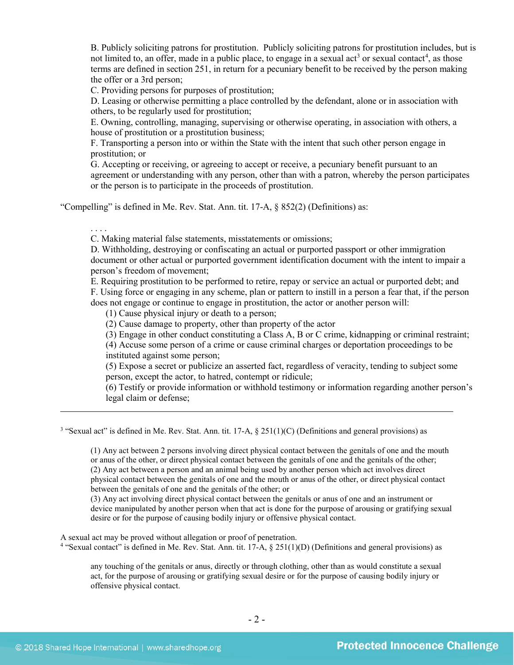<span id="page-1-2"></span>B. Publicly soliciting patrons for prostitution. Publicly soliciting patrons for prostitution includes, but is not limited to, an offer, made in a public place, to engage in a sexual act<sup>[3](#page-1-0)</sup> or sexual contact<sup>[4](#page-1-1)</sup>, as those terms are defined in section 251, in return for a pecuniary benefit to be received by the person making the offer or a 3rd person;

C. Providing persons for purposes of prostitution;

D. Leasing or otherwise permitting a place controlled by the defendant, alone or in association with others, to be regularly used for prostitution;

E. Owning, controlling, managing, supervising or otherwise operating, in association with others, a house of prostitution or a prostitution business;

F. Transporting a person into or within the State with the intent that such other person engage in prostitution; or

G. Accepting or receiving, or agreeing to accept or receive, a pecuniary benefit pursuant to an agreement or understanding with any person, other than with a patron, whereby the person participates or the person is to participate in the proceeds of prostitution.

"Compelling" is defined in Me. Rev. Stat. Ann. tit. 17-A, § 852(2) (Definitions) as:

. . . .

 $\overline{a}$ 

C. Making material false statements, misstatements or omissions;

D. Withholding, destroying or confiscating an actual or purported passport or other immigration document or other actual or purported government identification document with the intent to impair a person's freedom of movement;

E. Requiring prostitution to be performed to retire, repay or service an actual or purported debt; and F. Using force or engaging in any scheme, plan or pattern to instill in a person a fear that, if the person does not engage or continue to engage in prostitution, the actor or another person will:

(1) Cause physical injury or death to a person;

(2) Cause damage to property, other than property of the actor

(3) Engage in other conduct constituting a Class A, B or C crime, kidnapping or criminal restraint;

(4) Accuse some person of a crime or cause criminal charges or deportation proceedings to be instituted against some person;

(5) Expose a secret or publicize an asserted fact, regardless of veracity, tending to subject some person, except the actor, to hatred, contempt or ridicule;

(6) Testify or provide information or withhold testimony or information regarding another person's legal claim or defense;

<span id="page-1-0"></span><sup>3</sup> "Sexual act" is defined in Me. Rev. Stat. Ann. tit. 17-A, § 251(1)(C) (Definitions and general provisions) as

(1) Any act between 2 persons involving direct physical contact between the genitals of one and the mouth or anus of the other, or direct physical contact between the genitals of one and the genitals of the other; (2) Any act between a person and an animal being used by another person which act involves direct physical contact between the genitals of one and the mouth or anus of the other, or direct physical contact between the genitals of one and the genitals of the other; or

(3) Any act involving direct physical contact between the genitals or anus of one and an instrument or device manipulated by another person when that act is done for the purpose of arousing or gratifying sexual desire or for the purpose of causing bodily injury or offensive physical contact.

<span id="page-1-1"></span>A sexual act may be proved without allegation or proof of penetration.

<sup>4</sup> "Sexual contact" is defined in Me. Rev. Stat. Ann. tit. 17-A, § 251(1)(D) (Definitions and general provisions) as

any touching of the genitals or anus, directly or through clothing, other than as would constitute a sexual act, for the purpose of arousing or gratifying sexual desire or for the purpose of causing bodily injury or offensive physical contact.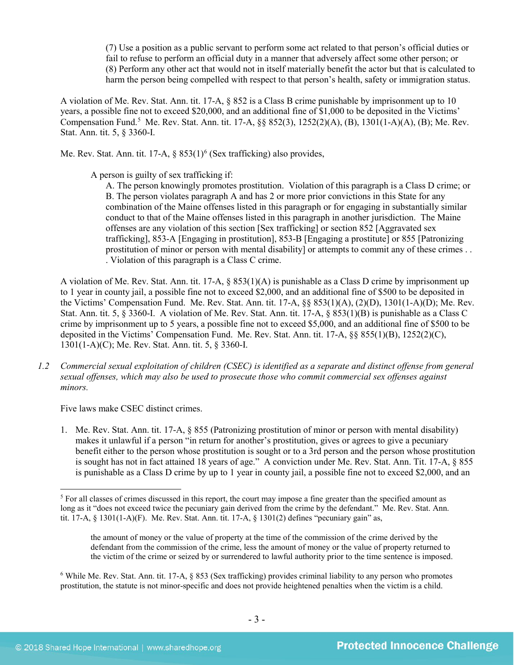(7) Use a position as a public servant to perform some act related to that person's official duties or fail to refuse to perform an official duty in a manner that adversely affect some other person; or (8) Perform any other act that would not in itself materially benefit the actor but that is calculated to harm the person being compelled with respect to that person's health, safety or immigration status.

A violation of Me. Rev. Stat. Ann. tit. 17-A, § 852 is a Class B crime punishable by imprisonment up to 10 years, a possible fine not to exceed \$20,000, and an additional fine of \$1,000 to be deposited in the Victims' Compensation Fund.<sup>[5](#page-2-0)</sup> Me. Rev. Stat. Ann. tit. 17-A, §§ 852(3), 1252(2)(A), (B), 1301(1-A)(A), (B); Me. Rev. Stat. Ann. tit. 5, § 3360-I.

Me. Rev. Stat. Ann. tit. 17-A,  $\S$  853(1)<sup>[6](#page-2-1)</sup> (Sex trafficking) also provides,

A person is guilty of sex trafficking if:

<span id="page-2-2"></span>A. The person knowingly promotes prostitution. Violation of this paragraph is a Class D crime; or B. The person violates paragraph A and has 2 or more prior convictions in this State for any combination of the Maine offenses listed in this paragraph or for engaging in substantially similar conduct to that of the Maine offenses listed in this paragraph in another jurisdiction. The Maine offenses are any violation of this section [Sex trafficking] or section 852 [Aggravated sex trafficking], 853-A [Engaging in prostitution], 853-B [Engaging a prostitute] or 855 [Patronizing prostitution of minor or person with mental disability] or attempts to commit any of these crimes . . . Violation of this paragraph is a Class C crime.

A violation of Me. Rev. Stat. Ann. tit. 17-A, § 853(1)(A) is punishable as a Class D crime by imprisonment up to 1 year in county jail, a possible fine not to exceed \$2,000, and an additional fine of \$500 to be deposited in the Victims' Compensation Fund. Me. Rev. Stat. Ann. tit. 17-A, §§ 853(1)(A), (2)(D), 1301(1-A)(D); Me. Rev. Stat. Ann. tit. 5, § 3360-I. A violation of Me. Rev. Stat. Ann. tit. 17-A, § 853(1)(B) is punishable as a Class C crime by imprisonment up to 5 years, a possible fine not to exceed \$5,000, and an additional fine of \$500 to be deposited in the Victims' Compensation Fund. Me. Rev. Stat. Ann. tit. 17-A, §§ 855(1)(B), 1252(2)(C), 1301(1-A)(C); Me. Rev. Stat. Ann. tit. 5, § 3360-I.

*1.2 Commercial sexual exploitation of children (CSEC) is identified as a separate and distinct offense from general sexual offenses, which may also be used to prosecute those who commit commercial sex offenses against minors.*

Five laws make CSEC distinct crimes.

1. Me. Rev. Stat. Ann. tit. 17-A, § 855 (Patronizing prostitution of minor or person with mental disability) makes it unlawful if a person "in return for another's prostitution, gives or agrees to give a pecuniary benefit either to the person whose prostitution is sought or to a 3rd person and the person whose prostitution is sought has not in fact attained 18 years of age." A conviction under Me. Rev. Stat. Ann. Tit. 17-A, § 855 is punishable as a Class D crime by up to 1 year in county jail, a possible fine not to exceed \$2,000, and an

<span id="page-2-0"></span> $<sup>5</sup>$  For all classes of crimes discussed in this report, the court may impose a fine greater than the specified amount as</sup> long as it "does not exceed twice the pecuniary gain derived from the crime by the defendant." Me. Rev. Stat. Ann. tit. 17-A,  $\S$  1301(1-A)(F). Me. Rev. Stat. Ann. tit. 17-A,  $\S$  1301(2) defines "pecuniary gain" as,

the amount of money or the value of property at the time of the commission of the crime derived by the defendant from the commission of the crime, less the amount of money or the value of property returned to the victim of the crime or seized by or surrendered to lawful authority prior to the time sentence is imposed.

<span id="page-2-1"></span><sup>&</sup>lt;sup>6</sup> While Me. Rev. Stat. Ann. tit. 17-A, § 853 (Sex trafficking) provides criminal liability to any person who promotes prostitution, the statute is not minor-specific and does not provide heightened penalties when the victim is a child.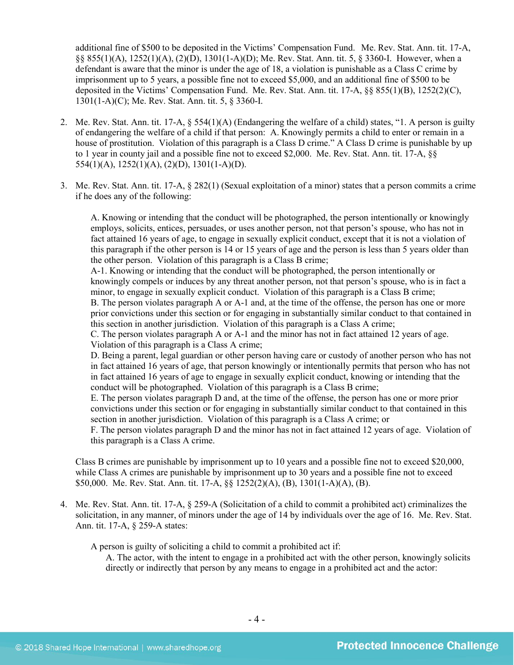additional fine of \$500 to be deposited in the Victims' Compensation Fund. Me. Rev. Stat. Ann. tit. 17-A, §§ 855(1)(A), 1252(1)(A), (2)(D), 1301(1-A)(D); Me. Rev. Stat. Ann. tit. 5, § 3360-I. However, when a defendant is aware that the minor is under the age of 18, a violation is punishable as a Class C crime by imprisonment up to 5 years, a possible fine not to exceed \$5,000, and an additional fine of \$500 to be deposited in the Victims' Compensation Fund. Me. Rev. Stat. Ann. tit. 17-A, §§ 855(1)(B), 1252(2)(C), 1301(1-A)(C); Me. Rev. Stat. Ann. tit. 5, § 3360-I.

- 2. Me. Rev. Stat. Ann. tit. 17-A, § 554(1)(A) (Endangering the welfare of a child) states, "1. A person is guilty of endangering the welfare of a child if that person: A. Knowingly permits a child to enter or remain in a house of prostitution. Violation of this paragraph is a Class D crime." A Class D crime is punishable by up to 1 year in county jail and a possible fine not to exceed \$2,000. Me. Rev. Stat. Ann. tit. 17-A, §§ 554(1)(A), 1252(1)(A), (2)(D), 1301(1-A)(D).
- 3. Me. Rev. Stat. Ann. tit. 17-A, § 282(1) (Sexual exploitation of a minor) states that a person commits a crime if he does any of the following:

A. Knowing or intending that the conduct will be photographed, the person intentionally or knowingly employs, solicits, entices, persuades, or uses another person, not that person's spouse, who has not in fact attained 16 years of age, to engage in sexually explicit conduct, except that it is not a violation of this paragraph if the other person is 14 or 15 years of age and the person is less than 5 years older than the other person. Violation of this paragraph is a Class B crime;

A-1. Knowing or intending that the conduct will be photographed, the person intentionally or knowingly compels or induces by any threat another person, not that person's spouse, who is in fact a minor, to engage in sexually explicit conduct. Violation of this paragraph is a Class B crime;

B. The person violates paragraph A or A-1 and, at the time of the offense, the person has one or more prior convictions under this section or for engaging in substantially similar conduct to that contained in this section in another jurisdiction. Violation of this paragraph is a Class A crime;

C. The person violates paragraph A or A-1 and the minor has not in fact attained 12 years of age. Violation of this paragraph is a Class A crime;

D. Being a parent, legal guardian or other person having care or custody of another person who has not in fact attained 16 years of age, that person knowingly or intentionally permits that person who has not in fact attained 16 years of age to engage in sexually explicit conduct, knowing or intending that the conduct will be photographed. Violation of this paragraph is a Class B crime;

E. The person violates paragraph D and, at the time of the offense, the person has one or more prior convictions under this section or for engaging in substantially similar conduct to that contained in this section in another jurisdiction. Violation of this paragraph is a Class A crime; or

F. The person violates paragraph D and the minor has not in fact attained 12 years of age. Violation of this paragraph is a Class A crime.

Class B crimes are punishable by imprisonment up to 10 years and a possible fine not to exceed \$20,000, while Class A crimes are punishable by imprisonment up to 30 years and a possible fine not to exceed \$50,000. Me. Rev. Stat. Ann. tit. 17-A, §§ 1252(2)(A), (B), 1301(1-A)(A), (B).

4. Me. Rev. Stat. Ann. tit. 17-A, § 259-A (Solicitation of a child to commit a prohibited act) criminalizes the solicitation, in any manner, of minors under the age of 14 by individuals over the age of 16. Me. Rev. Stat. Ann. tit. 17-A, § 259-A states:

A person is guilty of soliciting a child to commit a prohibited act if:

A. The actor, with the intent to engage in a prohibited act with the other person, knowingly solicits directly or indirectly that person by any means to engage in a prohibited act and the actor: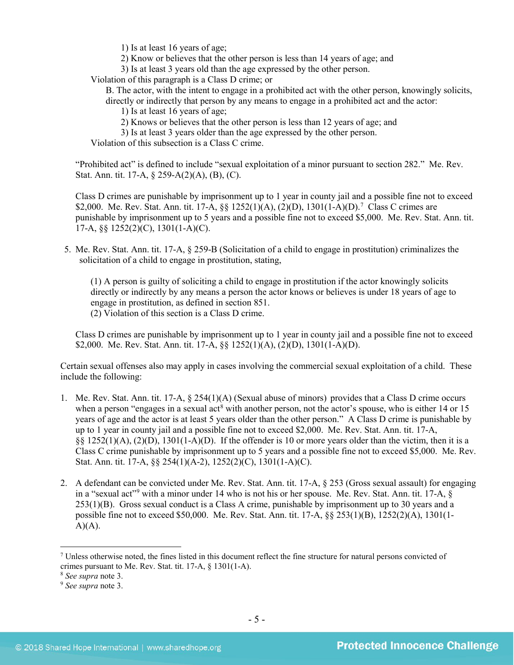1) Is at least 16 years of age;

2) Know or believes that the other person is less than 14 years of age; and

3) Is at least 3 years old than the age expressed by the other person.

Violation of this paragraph is a Class D crime; or

B. The actor, with the intent to engage in a prohibited act with the other person, knowingly solicits, directly or indirectly that person by any means to engage in a prohibited act and the actor:

1) Is at least 16 years of age;

- 2) Knows or believes that the other person is less than 12 years of age; and
- 3) Is at least 3 years older than the age expressed by the other person.

Violation of this subsection is a Class C crime.

"Prohibited act" is defined to include "sexual exploitation of a minor pursuant to section 282." Me. Rev. Stat. Ann. tit. 17-A, § 259-A(2)(A), (B), (C).

Class D crimes are punishable by imprisonment up to 1 year in county jail and a possible fine not to exceed \$2,000. Me. Rev. Stat. Ann. tit. 1[7](#page-4-0)-A,  $\S$  1252(1)(A), (2)(D), 1301(1-A)(D).<sup>7</sup> Class C crimes are punishable by imprisonment up to 5 years and a possible fine not to exceed \$5,000. Me. Rev. Stat. Ann. tit. 17-A, §§ 1252(2)(C), 1301(1-A)(C).

5. Me. Rev. Stat. Ann. tit. 17-A, § 259-B (Solicitation of a child to engage in prostitution) criminalizes the solicitation of a child to engage in prostitution, stating,

(1) A person is guilty of soliciting a child to engage in prostitution if the actor knowingly solicits directly or indirectly by any means a person the actor knows or believes is under 18 years of age to engage in prostitution, as defined in section 851. (2) Violation of this section is a Class D crime.

Class D crimes are punishable by imprisonment up to 1 year in county jail and a possible fine not to exceed \$2,000. Me. Rev. Stat. Ann. tit. 17-A, §§ 1252(1)(A), (2)(D), 1301(1-A)(D).

Certain sexual offenses also may apply in cases involving the commercial sexual exploitation of a child. These include the following:

- 1. Me. Rev. Stat. Ann. tit. 17-A, § 254(1)(A) (Sexual abuse of minors) provides that a Class D crime occurs when a person "engages in a sexual act<sup>[8](#page-4-1)</sup> with another person, not the actor's spouse, who is either 14 or 15 years of age and the actor is at least 5 years older than the other person." A Class D crime is punishable by up to 1 year in county jail and a possible fine not to exceed \$2,000. Me. Rev. Stat. Ann. tit. 17-A, §§ 1252(1)(A), (2)(D), 1301(1-A)(D). If the offender is 10 or more years older than the victim, then it is a Class C crime punishable by imprisonment up to 5 years and a possible fine not to exceed \$5,000. Me. Rev. Stat. Ann. tit. 17-A, §§ 254(1)(A-2), 1252(2)(C), 1301(1-A)(C).
- 2. A defendant can be convicted under Me. Rev. Stat. Ann. tit. 17-A, § 253 (Gross sexual assault) for engaging in a "sexual act"<sup>[9](#page-4-2)</sup> with a minor under 14 who is not his or her spouse. Me. Rev. Stat. Ann. tit. 17-A, § 253(1)(B). Gross sexual conduct is a Class A crime, punishable by imprisonment up to 30 years and a possible fine not to exceed \$50,000. Me. Rev. Stat. Ann. tit. 17-A, §§ 253(1)(B), 1252(2)(A), 1301(1-  $A)(A)$ .

<span id="page-4-0"></span> $<sup>7</sup>$  Unless otherwise noted, the fines listed in this document reflect the fine structure for natural persons convicted of</sup> crimes pursuant to Me. Rev. Stat. tit. 17-A, § 1301(1-A).

<span id="page-4-1"></span><sup>8</sup> *See supra* note [3.](#page-1-2)

<span id="page-4-2"></span><sup>9</sup> *See supra* note [3.](#page-1-2)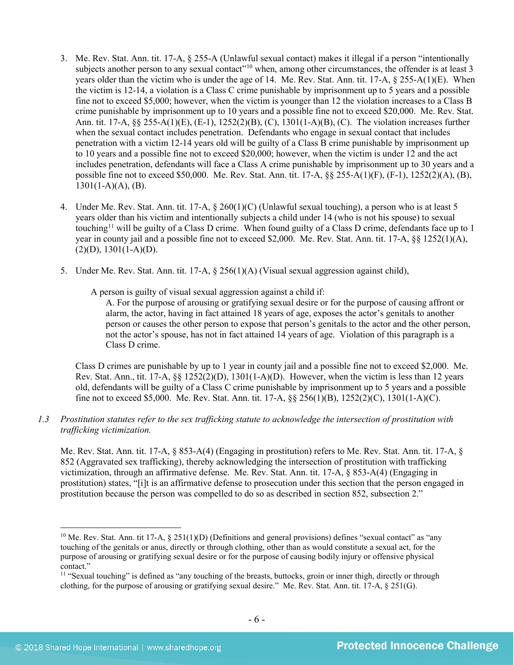- 3. Me. Rev. Stat. Ann. tit. 17-A, § 255-A (Unlawful sexual contact) makes it illegal if a person "intentionally subjects another person to any sexual contact"<sup>[10](#page-5-0)</sup> when, among other circumstances, the offender is at least 3 years older than the victim who is under the age of 14. Me. Rev. Stat. Ann. tit. 17-A, § 255-A(1)(E). When the victim is 12-14, a violation is a Class C crime punishable by imprisonment up to 5 years and a possible fine not to exceed \$5,000; however, when the victim is younger than 12 the violation increases to a Class B crime punishable by imprisonment up to 10 years and a possible fine not to exceed \$20,000. Me. Rev. Stat. Ann. tit. 17-A, §§ 255-A(1)(E), (E-1), 1252(2)(B), (C), 1301(1-A)(B), (C). The violation increases further when the sexual contact includes penetration. Defendants who engage in sexual contact that includes penetration with a victim 12-14 years old will be guilty of a Class B crime punishable by imprisonment up to 10 years and a possible fine not to exceed \$20,000; however, when the victim is under 12 and the act includes penetration, defendants will face a Class A crime punishable by imprisonment up to 30 years and a possible fine not to exceed \$50,000. Me. Rev. Stat. Ann. tit. 17-A, §§ 255-A(1)(F), (F-1), 1252(2)(A), (B),  $1301(1-A)(A)$ , (B).
- 4. Under Me. Rev. Stat. Ann. tit. 17-A, § 260(1)(C) (Unlawful sexual touching), a person who is at least 5 years older than his victim and intentionally subjects a child under 14 (who is not his spouse) to sexual touching<sup>[11](#page-5-1)</sup> will be guilty of a Class D crime. When found guilty of a Class D crime, defendants face up to 1 year in county jail and a possible fine not to exceed \$2,000. Me. Rev. Stat. Ann. tit. 17-A, §§ 1252(1)(A),  $(2)(D), 1301(1-A)(D).$
- 5. Under Me. Rev. Stat. Ann. tit. 17-A, § 256(1)(A) (Visual sexual aggression against child),

A person is guilty of visual sexual aggression against a child if:

A. For the purpose of arousing or gratifying sexual desire or for the purpose of causing affront or alarm, the actor, having in fact attained 18 years of age, exposes the actor's genitals to another person or causes the other person to expose that person's genitals to the actor and the other person, not the actor's spouse, has not in fact attained 14 years of age. Violation of this paragraph is a Class D crime.

Class D crimes are punishable by up to 1 year in county jail and a possible fine not to exceed \$2,000. Me. Rev. Stat. Ann., tit.  $17-A$ ,  $\&$   $1252(2)(D)$ ,  $1301(1-A)(D)$ . However, when the victim is less than 12 years old, defendants will be guilty of a Class C crime punishable by imprisonment up to 5 years and a possible fine not to exceed \$5,000. Me. Rev. Stat. Ann. tit. 17-A, §§ 256(1)(B), 1252(2)(C), 1301(1-A)(C).

*1.3 Prostitution statutes refer to the sex trafficking statute to acknowledge the intersection of prostitution with trafficking victimization.* 

Me. Rev. Stat. Ann. tit. 17-A, § 853-A(4) (Engaging in prostitution) refers to Me. Rev. Stat. Ann. tit. 17-A, § 852 (Aggravated sex trafficking), thereby acknowledging the intersection of prostitution with trafficking victimization, through an affirmative defense. Me. Rev. Stat. Ann. tit. 17-A, § 853-A(4) (Engaging in prostitution) states, "[i]t is an affirmative defense to prosecution under this section that the person engaged in prostitution because the person was compelled to do so as described in section 852, subsection 2."

<span id="page-5-0"></span><sup>&</sup>lt;sup>10</sup> Me. Rev. Stat. Ann. tit 17-A,  $\S 251(1)(D)$  (Definitions and general provisions) defines "sexual contact" as "any touching of the genitals or anus, directly or through clothing, other than as would constitute a sexual act, for the purpose of arousing or gratifying sexual desire or for the purpose of causing bodily injury or offensive physical contact."

<span id="page-5-1"></span> $11$  "Sexual touching" is defined as "any touching of the breasts, buttocks, groin or inner thigh, directly or through clothing, for the purpose of arousing or gratifying sexual desire." Me. Rev. Stat. Ann. tit. 17-A, § 251(G).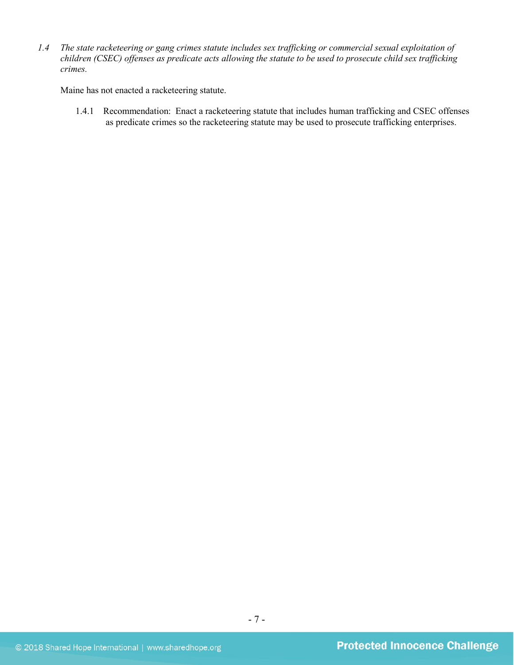*1.4 The state racketeering or gang crimes statute includes sex trafficking or commercial sexual exploitation of children (CSEC) offenses as predicate acts allowing the statute to be used to prosecute child sex trafficking crimes.* 

Maine has not enacted a racketeering statute.

1.4.1 Recommendation: Enact a racketeering statute that includes human trafficking and CSEC offenses as predicate crimes so the racketeering statute may be used to prosecute trafficking enterprises.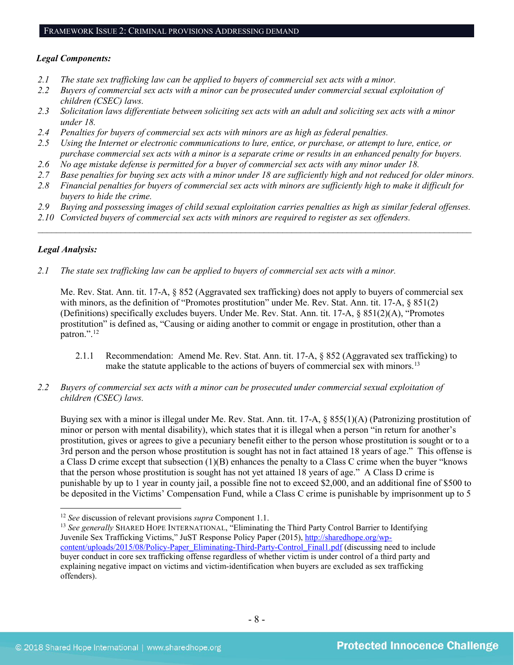#### *Legal Components:*

- *2.1 The state sex trafficking law can be applied to buyers of commercial sex acts with a minor.*
- *2.2 Buyers of commercial sex acts with a minor can be prosecuted under commercial sexual exploitation of children (CSEC) laws.*
- *2.3 Solicitation laws differentiate between soliciting sex acts with an adult and soliciting sex acts with a minor under 18.*
- *2.4 Penalties for buyers of commercial sex acts with minors are as high as federal penalties.*
- *2.5 Using the Internet or electronic communications to lure, entice, or purchase, or attempt to lure, entice, or purchase commercial sex acts with a minor is a separate crime or results in an enhanced penalty for buyers.*
- *2.6 No age mistake defense is permitted for a buyer of commercial sex acts with any minor under 18.*
- *2.7 Base penalties for buying sex acts with a minor under 18 are sufficiently high and not reduced for older minors.*
- *2.8 Financial penalties for buyers of commercial sex acts with minors are sufficiently high to make it difficult for buyers to hide the crime.*
- *2.9 Buying and possessing images of child sexual exploitation carries penalties as high as similar federal offenses.*

\_\_\_\_\_\_\_\_\_\_\_\_\_\_\_\_\_\_\_\_\_\_\_\_\_\_\_\_\_\_\_\_\_\_\_\_\_\_\_\_\_\_\_\_\_\_\_\_\_\_\_\_\_\_\_\_\_\_\_\_\_\_\_\_\_\_\_\_\_\_\_\_\_\_\_\_\_\_\_\_\_\_\_\_\_\_\_\_\_\_\_\_\_\_

*2.10 Convicted buyers of commercial sex acts with minors are required to register as sex offenders.*

## *Legal Analysis:*

*2.1 The state sex trafficking law can be applied to buyers of commercial sex acts with a minor.* 

Me. Rev. Stat. Ann. tit. 17-A, § 852 (Aggravated sex trafficking) does not apply to buyers of commercial sex with minors, as the definition of "Promotes prostitution" under Me. Rev. Stat. Ann. tit. 17-A, § 851(2) (Definitions) specifically excludes buyers. Under Me. Rev. Stat. Ann. tit. 17-A, § 851(2)(A), "Promotes prostitution" is defined as, "Causing or aiding another to commit or engage in prostitution, other than a patron.". [12](#page-7-0) 

- 2.1.1 Recommendation: Amend Me. Rev. Stat. Ann. tit. 17-A, § 852 (Aggravated sex trafficking) to make the statute applicable to the actions of buyers of commercial sex with minors.<sup>[13](#page-7-1)</sup>
- *2.2 Buyers of commercial sex acts with a minor can be prosecuted under commercial sexual exploitation of children (CSEC) laws.*

Buying sex with a minor is illegal under Me. Rev. Stat. Ann. tit. 17-A, § 855(1)(A) (Patronizing prostitution of minor or person with mental disability), which states that it is illegal when a person "in return for another's prostitution, gives or agrees to give a pecuniary benefit either to the person whose prostitution is sought or to a 3rd person and the person whose prostitution is sought has not in fact attained 18 years of age." This offense is a Class D crime except that subsection (1)(B) enhances the penalty to a Class C crime when the buyer "knows that the person whose prostitution is sought has not yet attained 18 years of age." A Class D crime is punishable by up to 1 year in county jail, a possible fine not to exceed \$2,000, and an additional fine of \$500 to be deposited in the Victims' Compensation Fund, while a Class C crime is punishable by imprisonment up to 5

<span id="page-7-0"></span> <sup>12</sup> *See* discussion of relevant provisions *supra* Component 1.1.

<span id="page-7-1"></span><sup>&</sup>lt;sup>13</sup> See generally SHARED HOPE INTERNATIONAL, "Eliminating the Third Party Control Barrier to Identifying Juvenile Sex Trafficking Victims," JuST Response Policy Paper (2015), [http://sharedhope.org/wp](http://sharedhope.org/wp-content/uploads/2015/08/Policy-Paper_Eliminating-Third-Party-Control_Final1.pdf)[content/uploads/2015/08/Policy-Paper\\_Eliminating-Third-Party-Control\\_Final1.pdf](http://sharedhope.org/wp-content/uploads/2015/08/Policy-Paper_Eliminating-Third-Party-Control_Final1.pdf) (discussing need to include buyer conduct in core sex trafficking offense regardless of whether victim is under control of a third party and explaining negative impact on victims and victim-identification when buyers are excluded as sex trafficking offenders).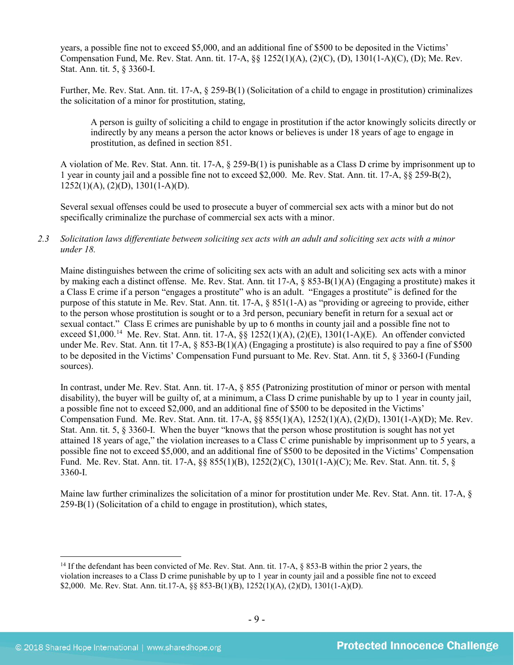years, a possible fine not to exceed \$5,000, and an additional fine of \$500 to be deposited in the Victims' Compensation Fund, Me. Rev. Stat. Ann. tit. 17-A, §§ 1252(1)(A), (2)(C), (D), 1301(1-A)(C), (D); Me. Rev. Stat. Ann. tit. 5, § 3360-I.

Further, Me. Rev. Stat. Ann. tit. 17-A, § 259-B(1) (Solicitation of a child to engage in prostitution) criminalizes the solicitation of a minor for prostitution, stating,

A person is guilty of soliciting a child to engage in prostitution if the actor knowingly solicits directly or indirectly by any means a person the actor knows or believes is under 18 years of age to engage in prostitution, as defined in section 851.

A violation of Me. Rev. Stat. Ann. tit. 17-A, § 259-B(1) is punishable as a Class D crime by imprisonment up to 1 year in county jail and a possible fine not to exceed \$2,000. Me. Rev. Stat. Ann. tit. 17-A, §§ 259-B(2),  $1252(1)(A), (2)(D), 1301(1-A)(D).$ 

Several sexual offenses could be used to prosecute a buyer of commercial sex acts with a minor but do not specifically criminalize the purchase of commercial sex acts with a minor.

#### *2.3 Solicitation laws differentiate between soliciting sex acts with an adult and soliciting sex acts with a minor under 18.*

Maine distinguishes between the crime of soliciting sex acts with an adult and soliciting sex acts with a minor by making each a distinct offense. Me. Rev. Stat. Ann. tit 17-A, § 853-B(1)(A) (Engaging a prostitute) makes it a Class E crime if a person "engages a prostitute" who is an adult. "Engages a prostitute" is defined for the purpose of this statute in Me. Rev. Stat. Ann. tit. 17-A, § 851(1-A) as "providing or agreeing to provide, either to the person whose prostitution is sought or to a 3rd person, pecuniary benefit in return for a sexual act or sexual contact." Class E crimes are punishable by up to 6 months in county jail and a possible fine not to exceed \$1,000.[14](#page-8-0) Me. Rev. Stat. Ann. tit. 17-A, §§ 1252(1)(A), (2)(E), 1301(1-A)(E). An offender convicted under Me. Rev. Stat. Ann. tit 17-A, § 853-B(1)(A) (Engaging a prostitute) is also required to pay a fine of \$500 to be deposited in the Victims' Compensation Fund pursuant to Me. Rev. Stat. Ann. tit 5, § 3360-I (Funding sources).

In contrast, under Me. Rev. Stat. Ann. tit. 17-A, § 855 (Patronizing prostitution of minor or person with mental disability), the buyer will be guilty of, at a minimum, a Class D crime punishable by up to 1 year in county jail, a possible fine not to exceed \$2,000, and an additional fine of \$500 to be deposited in the Victims' Compensation Fund. Me. Rev. Stat. Ann. tit. 17-A, §§ 855(1)(A), 1252(1)(A), (2)(D), 1301(1-A)(D); Me. Rev. Stat. Ann. tit. 5, § 3360-I. When the buyer "knows that the person whose prostitution is sought has not yet attained 18 years of age," the violation increases to a Class C crime punishable by imprisonment up to 5 years, a possible fine not to exceed \$5,000, and an additional fine of \$500 to be deposited in the Victims' Compensation Fund. Me. Rev. Stat. Ann. tit. 17-A, §§ 855(1)(B), 1252(2)(C), 1301(1-A)(C); Me. Rev. Stat. Ann. tit. 5, § 3360-I.

Maine law further criminalizes the solicitation of a minor for prostitution under Me. Rev. Stat. Ann. tit. 17-A, § 259-B(1) (Solicitation of a child to engage in prostitution), which states,

<span id="page-8-0"></span> <sup>14</sup> If the defendant has been convicted of Me. Rev. Stat. Ann. tit. 17-A, § 853-B within the prior 2 years, the violation increases to a Class D crime punishable by up to 1 year in county jail and a possible fine not to exceed \$2,000. Me. Rev. Stat. Ann. tit.17-A, §§ 853-B(1)(B), 1252(1)(A), (2)(D), 1301(1-A)(D).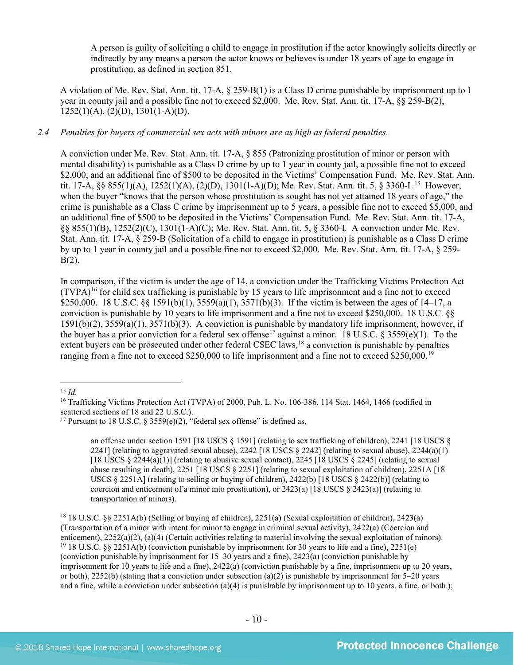A person is guilty of soliciting a child to engage in prostitution if the actor knowingly solicits directly or indirectly by any means a person the actor knows or believes is under 18 years of age to engage in prostitution, as defined in section 851.

A violation of Me. Rev. Stat. Ann. tit. 17-A, § 259-B(1) is a Class D crime punishable by imprisonment up to 1 year in county jail and a possible fine not to exceed \$2,000. Me. Rev. Stat. Ann. tit. 17-A, §§ 259-B(2),  $1252(1)(A), (2)(D), 1301(1-A)(D).$ 

## *2.4 Penalties for buyers of commercial sex acts with minors are as high as federal penalties.*

A conviction under Me. Rev. Stat. Ann. tit. 17-A, § 855 (Patronizing prostitution of minor or person with mental disability) is punishable as a Class D crime by up to 1 year in county jail, a possible fine not to exceed \$2,000, and an additional fine of \$500 to be deposited in the Victims' Compensation Fund. Me. Rev. Stat. Ann. tit. 17-A, §§ 855(1)(A), 1252(1)(A), (2)(D), 1301(1-A)(D); Me. Rev. Stat. Ann. tit. 5, § 3360-I. [15](#page-9-0) However, when the buyer "knows that the person whose prostitution is sought has not yet attained 18 years of age," the crime is punishable as a Class C crime by imprisonment up to 5 years, a possible fine not to exceed \$5,000, and an additional fine of \$500 to be deposited in the Victims' Compensation Fund. Me. Rev. Stat. Ann. tit. 17-A, §§ 855(1)(B), 1252(2)(C), 1301(1-A)(C); Me. Rev. Stat. Ann. tit. 5, § 3360-I. A conviction under Me. Rev. Stat. Ann. tit. 17-A, § 259-B (Solicitation of a child to engage in prostitution) is punishable as a Class D crime by up to 1 year in county jail and a possible fine not to exceed \$2,000. Me. Rev. Stat. Ann. tit. 17-A, § 259-  $B(2)$ .

In comparison, if the victim is under the age of 14, a conviction under the Trafficking Victims Protection Act  $(TVPA)^{16}$  $(TVPA)^{16}$  $(TVPA)^{16}$  for child sex trafficking is punishable by 15 years to life imprisonment and a fine not to exceed \$250,000. 18 U.S.C. §§ 1591(b)(1), 3559(a)(1), 3571(b)(3). If the victim is between the ages of 14–17, a conviction is punishable by 10 years to life imprisonment and a fine not to exceed \$250,000. 18 U.S.C. §§ 1591(b)(2), 3559(a)(1), 3571(b)(3). A conviction is punishable by mandatory life imprisonment, however, if the buyer has a prior conviction for a federal sex offense<sup>[17](#page-9-2)</sup> against a minor. 18 U.S.C. § 3559(e)(1). To the extent buyers can be prosecuted under other federal CSEC laws,<sup>[18](#page-9-3)</sup> a conviction is punishable by penalties ranging from a fine not to exceed \$250,000 to life imprisonment and a fine not to exceed \$250,000.[19](#page-9-4) 

<span id="page-9-0"></span>15 *Id.*

<span id="page-9-5"></span>an offense under section 1591 [18 USCS § 1591] (relating to sex trafficking of children), 2241 [18 USCS § 2241] (relating to aggravated sexual abuse), 2242 [18 USCS  $\S$  2242] (relating to sexual abuse), 2244(a)(1) [18 USCS  $\S 2244(a)(1)$ ] (relating to abusive sexual contact), 2245 [18 USCS  $\S 2245$ ] (relating to sexual abuse resulting in death), 2251 [18 USCS § 2251] (relating to sexual exploitation of children), 2251A [18 USCS § 2251A] (relating to selling or buying of children), 2422(b) [18 USCS § 2422(b)] (relating to coercion and enticement of a minor into prostitution), or  $2423(a)$  [18 USCS §  $2423(a)$ ] (relating to transportation of minors).

<span id="page-9-4"></span><span id="page-9-3"></span><sup>18</sup> 18 U.S.C. §§ 2251A(b) (Selling or buying of children), 2251(a) (Sexual exploitation of children), 2423(a) (Transportation of a minor with intent for minor to engage in criminal sexual activity), 2422(a) (Coercion and enticement), 2252(a)(2), (a)(4) (Certain activities relating to material involving the sexual exploitation of minors). <sup>19</sup> 18 U.S.C. §§ 2251A(b) (conviction punishable by imprisonment for 30 years to life and a fine), 22 (conviction punishable by imprisonment for 15–30 years and a fine), 2423(a) (conviction punishable by imprisonment for 10 years to life and a fine), 2422(a) (conviction punishable by a fine, imprisonment up to 20 years, or both),  $2252(b)$  (stating that a conviction under subsection (a)(2) is punishable by imprisonment for 5–20 years and a fine, while a conviction under subsection (a)(4) is punishable by imprisonment up to 10 years, a fine, or both.);

<span id="page-9-1"></span><sup>&</sup>lt;sup>16</sup> Trafficking Victims Protection Act (TVPA) of 2000, Pub. L. No. 106-386, 114 Stat. 1464, 1466 (codified in scattered sections of 18 and 22 U.S.C.).

<span id="page-9-2"></span><sup>&</sup>lt;sup>17</sup> Pursuant to 18 U.S.C. § 3559(e)(2), "federal sex offense" is defined as,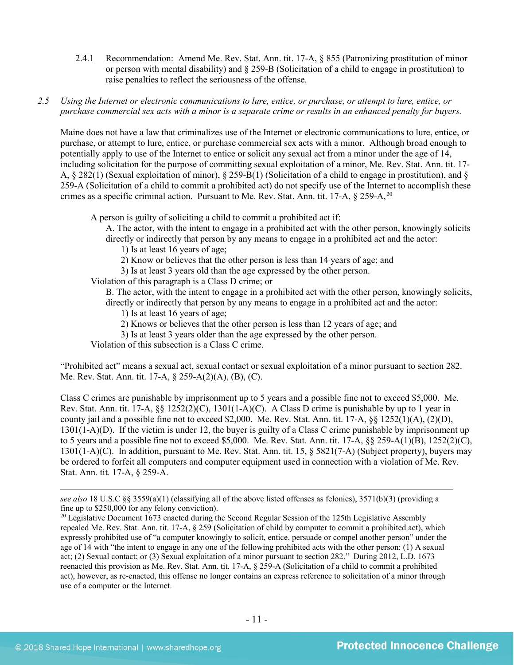- 2.4.1 Recommendation: Amend Me. Rev. Stat. Ann. tit. 17-A, § 855 (Patronizing prostitution of minor or person with mental disability) and § 259-B (Solicitation of a child to engage in prostitution) to raise penalties to reflect the seriousness of the offense.
- *2.5 Using the Internet or electronic communications to lure, entice, or purchase, or attempt to lure, entice, or purchase commercial sex acts with a minor is a separate crime or results in an enhanced penalty for buyers.*

Maine does not have a law that criminalizes use of the Internet or electronic communications to lure, entice, or purchase, or attempt to lure, entice, or purchase commercial sex acts with a minor. Although broad enough to potentially apply to use of the Internet to entice or solicit any sexual act from a minor under the age of 14, including solicitation for the purpose of committing sexual exploitation of a minor, Me. Rev. Stat. Ann. tit. 17- A, § 282(1) (Sexual exploitation of minor), § 259-B(1) (Solicitation of a child to engage in prostitution), and § 259-A (Solicitation of a child to commit a prohibited act) do not specify use of the Internet to accomplish these crimes as a specific criminal action. Pursuant to Me. Rev. Stat. Ann. tit. 17-A, § 259-A,<sup>[20](#page-10-0)</sup>

A person is guilty of soliciting a child to commit a prohibited act if:

A. The actor, with the intent to engage in a prohibited act with the other person, knowingly solicits directly or indirectly that person by any means to engage in a prohibited act and the actor:

1) Is at least 16 years of age;

2) Know or believes that the other person is less than 14 years of age; and

3) Is at least 3 years old than the age expressed by the other person.

Violation of this paragraph is a Class D crime; or

B. The actor, with the intent to engage in a prohibited act with the other person, knowingly solicits, directly or indirectly that person by any means to engage in a prohibited act and the actor:

- 1) Is at least 16 years of age;
- 2) Knows or believes that the other person is less than 12 years of age; and

3) Is at least 3 years older than the age expressed by the other person.

Violation of this subsection is a Class C crime.

"Prohibited act" means a sexual act, sexual contact or sexual exploitation of a minor pursuant to section 282. Me. Rev. Stat. Ann. tit. 17-A, § 259-A(2)(A), (B), (C).

Class C crimes are punishable by imprisonment up to 5 years and a possible fine not to exceed \$5,000. Me. Rev. Stat. Ann. tit. 17-A, §§ 1252(2)(C), 1301(1-A)(C). A Class D crime is punishable by up to 1 year in county jail and a possible fine not to exceed \$2,000. Me. Rev. Stat. Ann. tit. 17-A, §§ 1252(1)(A), (2)(D), 1301(1-A)(D). If the victim is under 12, the buyer is guilty of a Class C crime punishable by imprisonment up to 5 years and a possible fine not to exceed \$5,000. Me. Rev. Stat. Ann. tit. 17-A,  $\&$  259-A(1)(B), 1252(2)(C), 1301(1-A)(C). In addition, pursuant to Me. Rev. Stat. Ann. tit. 15, § 5821(7-A) (Subject property), buyers may be ordered to forfeit all computers and computer equipment used in connection with a violation of Me. Rev. Stat. Ann. tit. 17-A, § 259-A.

 $\overline{a}$ 

*see also* 18 U.S.C §§ 3559(a)(1) (classifying all of the above listed offenses as felonies), 3571(b)(3) (providing a fine up to \$250,000 for any felony conviction).

<span id="page-10-0"></span><sup>&</sup>lt;sup>20</sup> Legislative Document 1673 enacted during the Second Regular Session of the 125th Legislative Assembly repealed Me. Rev. Stat. Ann. tit. 17-A, § 259 (Solicitation of child by computer to commit a prohibited act), which expressly prohibited use of "a computer knowingly to solicit, entice, persuade or compel another person" under the age of 14 with "the intent to engage in any one of the following prohibited acts with the other person: (1) A sexual act; (2) Sexual contact; or (3) Sexual exploitation of a minor pursuant to section 282." During 2012, L.D. 1673 reenacted this provision as Me. Rev. Stat. Ann. tit. 17-A, § 259-A (Solicitation of a child to commit a prohibited act), however, as re-enacted, this offense no longer contains an express reference to solicitation of a minor through use of a computer or the Internet.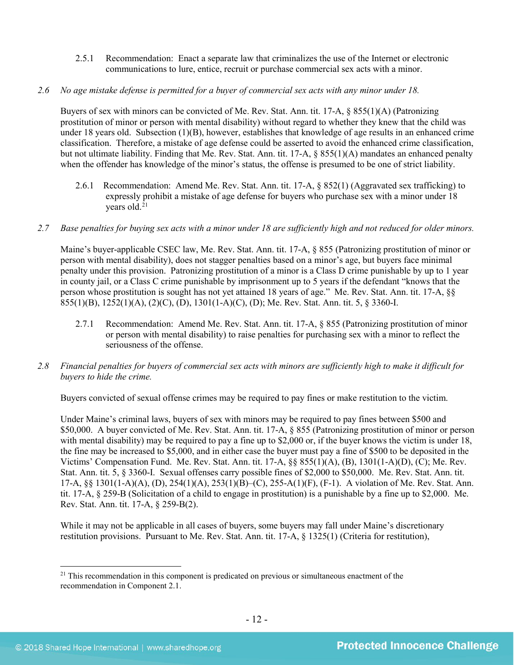- 2.5.1 Recommendation: Enact a separate law that criminalizes the use of the Internet or electronic communications to lure, entice, recruit or purchase commercial sex acts with a minor.
- *2.6 No age mistake defense is permitted for a buyer of commercial sex acts with any minor under 18.*

Buyers of sex with minors can be convicted of Me. Rev. Stat. Ann. tit. 17-A, § 855(1)(A) (Patronizing prostitution of minor or person with mental disability) without regard to whether they knew that the child was under 18 years old. Subsection (1)(B), however, establishes that knowledge of age results in an enhanced crime classification. Therefore, a mistake of age defense could be asserted to avoid the enhanced crime classification, but not ultimate liability. Finding that Me. Rev. Stat. Ann. tit. 17-A, § 855(1)(A) mandates an enhanced penalty when the offender has knowledge of the minor's status, the offense is presumed to be one of strict liability.

- 2.6.1 Recommendation: Amend Me. Rev. Stat. Ann. tit. 17-A, § 852(1) (Aggravated sex trafficking) to expressly prohibit a mistake of age defense for buyers who purchase sex with a minor under 18 years old.<sup>[21](#page-11-0)</sup>
- *2.7 Base penalties for buying sex acts with a minor under 18 are sufficiently high and not reduced for older minors.*

Maine's buyer-applicable CSEC law, Me. Rev. Stat. Ann. tit. 17-A, § 855 (Patronizing prostitution of minor or person with mental disability), does not stagger penalties based on a minor's age, but buyers face minimal penalty under this provision. Patronizing prostitution of a minor is a Class D crime punishable by up to 1 year in county jail, or a Class C crime punishable by imprisonment up to 5 years if the defendant "knows that the person whose prostitution is sought has not yet attained 18 years of age." Me. Rev. Stat. Ann. tit. 17-A, §§ 855(1)(B), 1252(1)(A), (2)(C), (D), 1301(1-A)(C), (D); Me. Rev. Stat. Ann. tit. 5, § 3360-I.

- 2.7.1 Recommendation: Amend Me. Rev. Stat. Ann. tit. 17-A, § 855 (Patronizing prostitution of minor or person with mental disability) to raise penalties for purchasing sex with a minor to reflect the seriousness of the offense.
- *2.8 Financial penalties for buyers of commercial sex acts with minors are sufficiently high to make it difficult for buyers to hide the crime.*

Buyers convicted of sexual offense crimes may be required to pay fines or make restitution to the victim.

Under Maine's criminal laws, buyers of sex with minors may be required to pay fines between \$500 and \$50,000. A buyer convicted of Me. Rev. Stat. Ann. tit. 17-A, § 855 (Patronizing prostitution of minor or person with mental disability) may be required to pay a fine up to \$2,000 or, if the buyer knows the victim is under 18, the fine may be increased to \$5,000, and in either case the buyer must pay a fine of \$500 to be deposited in the Victims' Compensation Fund. Me. Rev. Stat. Ann. tit. 17-A, §§ 855(1)(A), (B), 1301(1-A)(D), (C); Me. Rev. Stat. Ann. tit. 5, § 3360-I. Sexual offenses carry possible fines of \$2,000 to \$50,000. Me. Rev. Stat. Ann. tit. 17-A, §§ 1301(1-A)(A), (D), 254(1)(A), 253(1)(B)–(C), 255-A(1)(F), (F-1). A violation of Me. Rev. Stat. Ann. tit. 17-A, § 259-B (Solicitation of a child to engage in prostitution) is a punishable by a fine up to \$2,000. Me. Rev. Stat. Ann. tit. 17-A, § 259-B(2).

While it may not be applicable in all cases of buyers, some buyers may fall under Maine's discretionary restitution provisions. Pursuant to Me. Rev. Stat. Ann. tit. 17-A, § 1325(1) (Criteria for restitution),

<span id="page-11-0"></span><sup>&</sup>lt;sup>21</sup> This recommendation in this component is predicated on previous or simultaneous enactment of the recommendation in Component 2.1.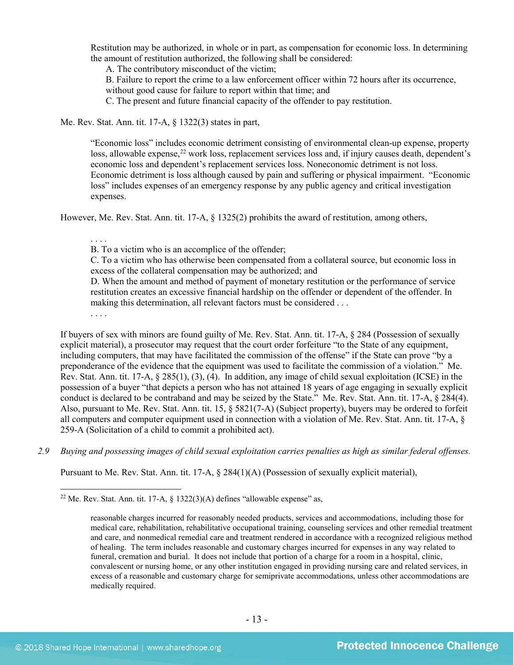Restitution may be authorized, in whole or in part, as compensation for economic loss. In determining the amount of restitution authorized, the following shall be considered:

A. The contributory misconduct of the victim;

B. Failure to report the crime to a law enforcement officer within 72 hours after its occurrence, without good cause for failure to report within that time; and

C. The present and future financial capacity of the offender to pay restitution.

Me. Rev. Stat. Ann. tit. 17-A, § 1322(3) states in part,

"Economic loss" includes economic detriment consisting of environmental clean-up expense, property loss, allowable expense,<sup>[22](#page-12-0)</sup> work loss, replacement services loss and, if injury causes death, dependent's economic loss and dependent's replacement services loss. Noneconomic detriment is not loss. Economic detriment is loss although caused by pain and suffering or physical impairment. "Economic loss" includes expenses of an emergency response by any public agency and critical investigation expenses.

However, Me. Rev. Stat. Ann. tit. 17-A, § 1325(2) prohibits the award of restitution, among others,

. . . . B. To a victim who is an accomplice of the offender;

C. To a victim who has otherwise been compensated from a collateral source, but economic loss in excess of the collateral compensation may be authorized; and

D. When the amount and method of payment of monetary restitution or the performance of service restitution creates an excessive financial hardship on the offender or dependent of the offender. In making this determination, all relevant factors must be considered . . .

. . . .

If buyers of sex with minors are found guilty of Me. Rev. Stat. Ann. tit. 17-A, § 284 (Possession of sexually explicit material), a prosecutor may request that the court order forfeiture "to the State of any equipment, including computers, that may have facilitated the commission of the offense" if the State can prove "by a preponderance of the evidence that the equipment was used to facilitate the commission of a violation." Me. Rev. Stat. Ann. tit. 17-A, § 285(1), (3), (4). In addition, any image of child sexual exploitation (ICSE) in the possession of a buyer "that depicts a person who has not attained 18 years of age engaging in sexually explicit conduct is declared to be contraband and may be seized by the State." Me. Rev. Stat. Ann. tit. 17-A, § 284(4). Also, pursuant to Me. Rev. Stat. Ann. tit. 15, § 5821(7-A) (Subject property), buyers may be ordered to forfeit all computers and computer equipment used in connection with a violation of Me. Rev. Stat. Ann. tit. 17-A, § 259-A (Solicitation of a child to commit a prohibited act).

*2.9 Buying and possessing images of child sexual exploitation carries penalties as high as similar federal offenses.*

Pursuant to Me. Rev. Stat. Ann. tit. 17-A, § 284(1)(A) (Possession of sexually explicit material),

<span id="page-12-0"></span><sup>&</sup>lt;sup>22</sup> Me. Rev. Stat. Ann. tit. 17-A,  $\frac{122(3)}{A}$  defines "allowable expense" as,

reasonable charges incurred for reasonably needed products, services and accommodations, including those for medical care, rehabilitation, rehabilitative occupational training, counseling services and other remedial treatment and care, and nonmedical remedial care and treatment rendered in accordance with a recognized religious method of healing. The term includes reasonable and customary charges incurred for expenses in any way related to funeral, cremation and burial. It does not include that portion of a charge for a room in a hospital, clinic, convalescent or nursing home, or any other institution engaged in providing nursing care and related services, in excess of a reasonable and customary charge for semiprivate accommodations, unless other accommodations are medically required.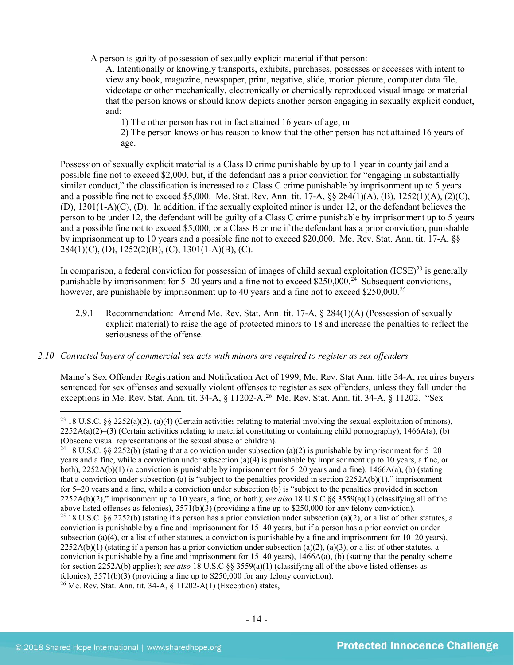A person is guilty of possession of sexually explicit material if that person:

A. Intentionally or knowingly transports, exhibits, purchases, possesses or accesses with intent to view any book, magazine, newspaper, print, negative, slide, motion picture, computer data file, videotape or other mechanically, electronically or chemically reproduced visual image or material that the person knows or should know depicts another person engaging in sexually explicit conduct, and:

1) The other person has not in fact attained 16 years of age; or

2) The person knows or has reason to know that the other person has not attained 16 years of age.

Possession of sexually explicit material is a Class D crime punishable by up to 1 year in county jail and a possible fine not to exceed \$2,000, but, if the defendant has a prior conviction for "engaging in substantially similar conduct," the classification is increased to a Class C crime punishable by imprisonment up to 5 years and a possible fine not to exceed \$5,000. Me. Stat. Rev. Ann. tit. 17-A, §§ 284(1)(A), (B), 1252(1)(A), (2)(C), (D), 1301(1-A)(C), (D). In addition, if the sexually exploited minor is under 12, or the defendant believes the person to be under 12, the defendant will be guilty of a Class C crime punishable by imprisonment up to 5 years and a possible fine not to exceed \$5,000, or a Class B crime if the defendant has a prior conviction, punishable by imprisonment up to 10 years and a possible fine not to exceed \$20,000. Me. Rev. Stat. Ann. tit. 17-A, §§  $284(1)(C)$ , (D),  $1252(2)(B)$ , (C),  $1301(1-A)(B)$ , (C).

In comparison, a federal conviction for possession of images of child sexual exploitation (ICSE)<sup>[23](#page-13-0)</sup> is generally punishable by imprisonment for  $5-20$  years and a fine not to exceed \$250,000.<sup>[24](#page-13-1)</sup> Subsequent convictions, however, are punishable by imprisonment up to 40 years and a fine not to exceed \$250,000.<sup>25</sup>

- 2.9.1 Recommendation: Amend Me. Rev. Stat. Ann. tit. 17-A, § 284(1)(A) (Possession of sexually explicit material) to raise the age of protected minors to 18 and increase the penalties to reflect the seriousness of the offense.
- *2.10 Convicted buyers of commercial sex acts with minors are required to register as sex offenders.*

<span id="page-13-4"></span>Maine's Sex Offender Registration and Notification Act of 1999, Me. Rev. Stat Ann. title 34-A, requires buyers sentenced for sex offenses and sexually violent offenses to register as sex offenders, unless they fall under the exceptions in Me. Rev. Stat. Ann. tit. 34-A, § 11202-A.<sup>[26](#page-13-3)</sup> Me. Rev. Stat. Ann. tit. 34-A, § 11202. "Sex

<span id="page-13-0"></span><sup>&</sup>lt;sup>23</sup> 18 U.S.C. §§ 2252(a)(2), (a)(4) (Certain activities relating to material involving the sexual exploitation of minors),  $2252A(a)(2)$ –(3) (Certain activities relating to material constituting or containing child pornography), 1466A(a), (b) (Obscene visual representations of the sexual abuse of children).

<span id="page-13-3"></span><span id="page-13-2"></span><span id="page-13-1"></span><sup>&</sup>lt;sup>24</sup> 18 U.S.C. §§ 2252(b) (stating that a conviction under subsection (a)(2) is punishable by imprisonment for 5–20 years and a fine, while a conviction under subsection (a)(4) is punishable by imprisonment up to 10 years, a fine, or both), 2252A(b)(1) (a conviction is punishable by imprisonment for 5–20 years and a fine), 1466A(a), (b) (stating that a conviction under subsection (a) is "subject to the penalties provided in section  $2252A(b)(1)$ ," imprisonment for 5–20 years and a fine, while a conviction under subsection (b) is "subject to the penalties provided in section 2252A(b)(2)," imprisonment up to 10 years, a fine, or both); *see also* 18 U.S.C §§ 3559(a)(1) (classifying all of the above listed offenses as felonies), 3571(b)(3) (providing a fine up to \$250,000 for any felony conviction). <sup>25</sup> 18 U.S.C. §§ 2252(b) (stating if a person has a prior conviction under subsection (a)(2), or a list of other statutes, a conviction is punishable by a fine and imprisonment for 15–40 years, but if a person has a prior conviction under subsection (a)(4), or a list of other statutes, a conviction is punishable by a fine and imprisonment for  $10-20$  years),  $2252A(b)(1)$  (stating if a person has a prior conviction under subsection (a)(2), (a)(3), or a list of other statutes, a conviction is punishable by a fine and imprisonment for  $15-40$  years),  $1466A(a)$ , (b) (stating that the penalty scheme for section 2252A(b) applies); *see also* 18 U.S.C §§ 3559(a)(1) (classifying all of the above listed offenses as felonies),  $3571(b)(3)$  (providing a fine up to \$250,000 for any felony conviction). <sup>26</sup> Me. Rev. Stat. Ann. tit. 34-A, § 11202-A(1) (Exception) states,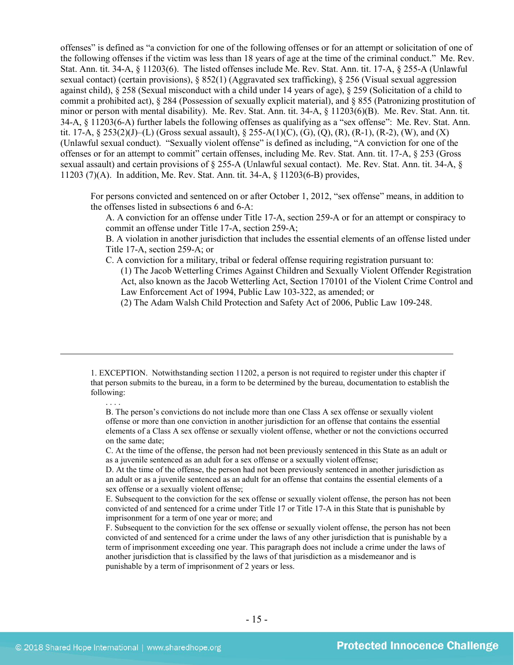offenses" is defined as "a conviction for one of the following offenses or for an attempt or solicitation of one of the following offenses if the victim was less than 18 years of age at the time of the criminal conduct." Me. Rev. Stat. Ann. tit. 34-A, § 11203(6). The listed offenses include Me. Rev. Stat. Ann. tit. 17-A, § 255-A (Unlawful sexual contact) (certain provisions), § 852(1) (Aggravated sex trafficking), § 256 (Visual sexual aggression against child), § 258 (Sexual misconduct with a child under 14 years of age), § 259 (Solicitation of a child to commit a prohibited act),  $\S 284$  (Possession of sexually explicit material), and  $\S 855$  (Patronizing prostitution of minor or person with mental disability). Me. Rev. Stat. Ann. tit. 34-A, § 11203(6)(B). Me. Rev. Stat. Ann. tit. 34-A, § 11203(6-A) further labels the following offenses as qualifying as a "sex offense": Me. Rev. Stat. Ann. tit. 17-A, § 253(2)(J)–(L) (Gross sexual assault), § 255-A(1)(C), (G), (Q), (R), (R-1), (R-2), (W), and (X) (Unlawful sexual conduct). "Sexually violent offense" is defined as including, "A conviction for one of the offenses or for an attempt to commit" certain offenses, including Me. Rev. Stat. Ann. tit. 17-A, § 253 (Gross sexual assault) and certain provisions of § 255-A (Unlawful sexual contact). Me. Rev. Stat. Ann. tit. 34-A, § 11203 (7)(A). In addition, Me. Rev. Stat. Ann. tit. 34-A, § 11203(6-B) provides,

For persons convicted and sentenced on or after October 1, 2012, "sex offense" means, in addition to the offenses listed in subsections 6 and 6-A:

A. A conviction for an offense under Title 17-A, section 259-A or for an attempt or conspiracy to commit an offense under Title 17-A, section 259-A;

B. A violation in another jurisdiction that includes the essential elements of an offense listed under Title 17-A, section 259-A; or

C. A conviction for a military, tribal or federal offense requiring registration pursuant to:

(1) The Jacob Wetterling Crimes Against Children and Sexually Violent Offender Registration Act, also known as the Jacob Wetterling Act, Section 170101 of the Violent Crime Control and Law Enforcement Act of 1994, Public Law 103-322, as amended; or

(2) The Adam Walsh Child Protection and Safety Act of 2006, Public Law 109-248.

1. EXCEPTION. Notwithstanding section 11202, a person is not required to register under this chapter if that person submits to the bureau, in a form to be determined by the bureau, documentation to establish the following:

B. The person's convictions do not include more than one Class A sex offense or sexually violent offense or more than one conviction in another jurisdiction for an offense that contains the essential elements of a Class A sex offense or sexually violent offense, whether or not the convictions occurred on the same date;

C. At the time of the offense, the person had not been previously sentenced in this State as an adult or as a juvenile sentenced as an adult for a sex offense or a sexually violent offense;

D. At the time of the offense, the person had not been previously sentenced in another jurisdiction as an adult or as a juvenile sentenced as an adult for an offense that contains the essential elements of a sex offense or a sexually violent offense;

E. Subsequent to the conviction for the sex offense or sexually violent offense, the person has not been convicted of and sentenced for a crime under Title 17 or Title 17-A in this State that is punishable by imprisonment for a term of one year or more; and

F. Subsequent to the conviction for the sex offense or sexually violent offense, the person has not been convicted of and sentenced for a crime under the laws of any other jurisdiction that is punishable by a term of imprisonment exceeding one year. This paragraph does not include a crime under the laws of another jurisdiction that is classified by the laws of that jurisdiction as a misdemeanor and is punishable by a term of imprisonment of 2 years or less.

. . . .

 $\overline{a}$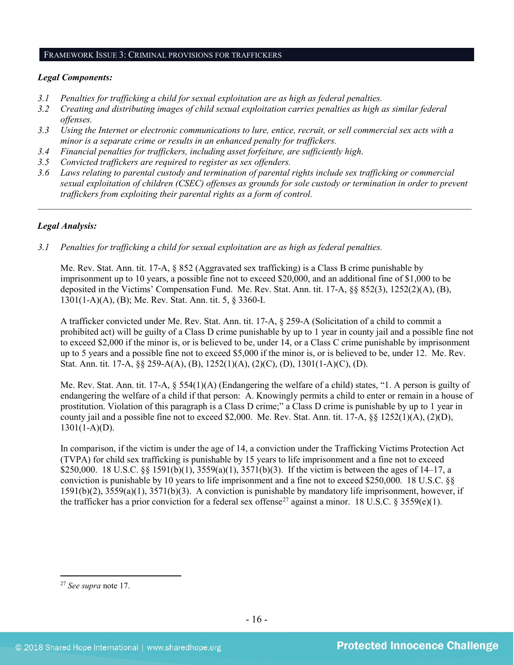#### FRAMEWORK ISSUE 3: CRIMINAL PROVISIONS FOR TRAFFICKERS

#### *Legal Components:*

- *3.1 Penalties for trafficking a child for sexual exploitation are as high as federal penalties.*
- *3.2 Creating and distributing images of child sexual exploitation carries penalties as high as similar federal offenses.*
- *3.3 Using the Internet or electronic communications to lure, entice, recruit, or sell commercial sex acts with a minor is a separate crime or results in an enhanced penalty for traffickers.*
- *3.4 Financial penalties for traffickers, including asset forfeiture, are sufficiently high*.
- *3.5 Convicted traffickers are required to register as sex offenders.*
- *3.6 Laws relating to parental custody and termination of parental rights include sex trafficking or commercial sexual exploitation of children (CSEC) offenses as grounds for sole custody or termination in order to prevent traffickers from exploiting their parental rights as a form of control.*

*\_\_\_\_\_\_\_\_\_\_\_\_\_\_\_\_\_\_\_\_\_\_\_\_\_\_\_\_\_\_\_\_\_\_\_\_\_\_\_\_\_\_\_\_\_\_\_\_\_\_\_\_\_\_\_\_\_\_\_\_\_\_\_\_\_\_\_\_\_\_\_\_\_\_\_\_\_\_\_\_\_\_\_\_\_\_\_\_\_\_\_\_\_\_*

## *Legal Analysis:*

*3.1 Penalties for trafficking a child for sexual exploitation are as high as federal penalties.* 

Me. Rev. Stat. Ann. tit. 17-A, § 852 (Aggravated sex trafficking) is a Class B crime punishable by imprisonment up to 10 years, a possible fine not to exceed \$20,000, and an additional fine of \$1,000 to be deposited in the Victims' Compensation Fund. Me. Rev. Stat. Ann. tit. 17-A, §§ 852(3), 1252(2)(A), (B), 1301(1-A)(A), (B); Me. Rev. Stat. Ann. tit. 5, § 3360-I.

A trafficker convicted under Me. Rev. Stat. Ann. tit. 17-A, § 259-A (Solicitation of a child to commit a prohibited act) will be guilty of a Class D crime punishable by up to 1 year in county jail and a possible fine not to exceed \$2,000 if the minor is, or is believed to be, under 14, or a Class C crime punishable by imprisonment up to 5 years and a possible fine not to exceed \$5,000 if the minor is, or is believed to be, under 12. Me. Rev. Stat. Ann. tit. 17-A, §§ 259-A(A), (B), 1252(1)(A), (2)(C), (D), 1301(1-A)(C), (D).

Me. Rev. Stat. Ann. tit. 17-A, § 554(1)(A) (Endangering the welfare of a child) states, "1. A person is guilty of endangering the welfare of a child if that person: A. Knowingly permits a child to enter or remain in a house of prostitution. Violation of this paragraph is a Class D crime;" a Class D crime is punishable by up to 1 year in county jail and a possible fine not to exceed \$2,000. Me. Rev. Stat. Ann. tit. 17-A,  $\S$  1252(1)(A), (2)(D),  $1301(1-A)(D)$ .

In comparison, if the victim is under the age of 14, a conviction under the Trafficking Victims Protection Act (TVPA) for child sex trafficking is punishable by 15 years to life imprisonment and a fine not to exceed \$250,000. 18 U.S.C. §§ 1591(b)(1), 3559(a)(1), 3571(b)(3). If the victim is between the ages of 14–17, a conviction is punishable by 10 years to life imprisonment and a fine not to exceed \$250,000. 18 U.S.C. §§ 1591(b)(2), 3559(a)(1), 3571(b)(3). A conviction is punishable by mandatory life imprisonment, however, if the trafficker has a prior conviction for a federal sex offense<sup>[27](#page-15-0)</sup> against a minor. 18 U.S.C. § 3559(e)(1).

<span id="page-15-0"></span> <sup>27</sup> *See supra* note [17.](#page-9-5)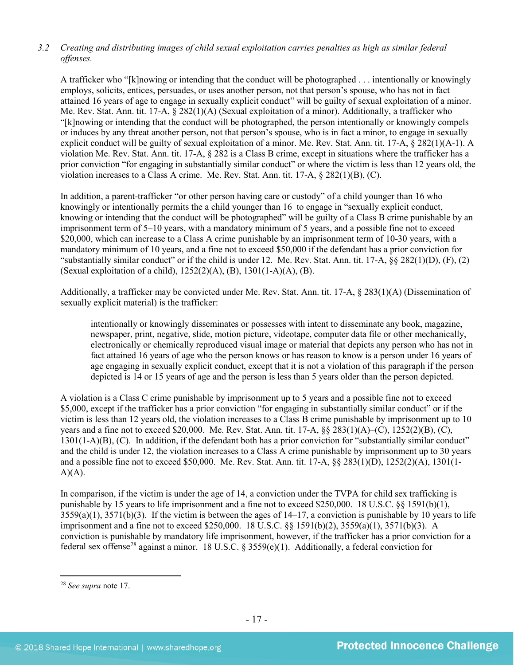## *3.2 Creating and distributing images of child sexual exploitation carries penalties as high as similar federal offenses.*

A trafficker who "[k]nowing or intending that the conduct will be photographed . . . intentionally or knowingly employs, solicits, entices, persuades, or uses another person, not that person's spouse, who has not in fact attained 16 years of age to engage in sexually explicit conduct" will be guilty of sexual exploitation of a minor. Me. Rev. Stat. Ann. tit. 17-A, § 282(1)(A) (Sexual exploitation of a minor). Additionally, a trafficker who "[k]nowing or intending that the conduct will be photographed, the person intentionally or knowingly compels or induces by any threat another person, not that person's spouse, who is in fact a minor, to engage in sexually explicit conduct will be guilty of sexual exploitation of a minor. Me. Rev. Stat. Ann. tit. 17-A, § 282(1)(A-1). A violation Me. Rev. Stat. Ann. tit. 17-A, § 282 is a Class B crime, except in situations where the trafficker has a prior conviction "for engaging in substantially similar conduct" or where the victim is less than 12 years old, the violation increases to a Class A crime. Me. Rev. Stat. Ann. tit. 17-A, § 282(1)(B), (C).

In addition, a parent-trafficker "or other person having care or custody" of a child younger than 16 who knowingly or intentionally permits the a child younger than 16 to engage in "sexually explicit conduct, knowing or intending that the conduct will be photographed" will be guilty of a Class B crime punishable by an imprisonment term of 5–10 years, with a mandatory minimum of 5 years, and a possible fine not to exceed \$20,000, which can increase to a Class A crime punishable by an imprisonment term of 10-30 years, with a mandatory minimum of 10 years, and a fine not to exceed \$50,000 if the defendant has a prior conviction for "substantially similar conduct" or if the child is under 12. Me. Rev. Stat. Ann. tit. 17-A,  $\S$   $\S$   $282(1)(D)$ ,  $(F)$ ,  $(2)$ (Sexual exploitation of a child), 1252(2)(A), (B), 1301(1-A)(A), (B).

Additionally, a trafficker may be convicted under Me. Rev. Stat. Ann. tit. 17-A, § 283(1)(A) (Dissemination of sexually explicit material) is the trafficker:

intentionally or knowingly disseminates or possesses with intent to disseminate any book, magazine, newspaper, print, negative, slide, motion picture, videotape, computer data file or other mechanically, electronically or chemically reproduced visual image or material that depicts any person who has not in fact attained 16 years of age who the person knows or has reason to know is a person under 16 years of age engaging in sexually explicit conduct, except that it is not a violation of this paragraph if the person depicted is 14 or 15 years of age and the person is less than 5 years older than the person depicted.

A violation is a Class C crime punishable by imprisonment up to 5 years and a possible fine not to exceed \$5,000, except if the trafficker has a prior conviction "for engaging in substantially similar conduct" or if the victim is less than 12 years old, the violation increases to a Class B crime punishable by imprisonment up to 10 years and a fine not to exceed \$20,000. Me. Rev. Stat. Ann. tit. 17-A, §§ 283(1)(A)–(C), 1252(2)(B), (C), 1301(1-A)(B), (C). In addition, if the defendant both has a prior conviction for "substantially similar conduct" and the child is under 12, the violation increases to a Class A crime punishable by imprisonment up to 30 years and a possible fine not to exceed \$50,000. Me. Rev. Stat. Ann. tit. 17-A, §§ 283(1)(D), 1252(2)(A), 1301(1-  $A)(A)$ .

In comparison, if the victim is under the age of 14, a conviction under the TVPA for child sex trafficking is punishable by 15 years to life imprisonment and a fine not to exceed \$250,000. 18 U.S.C. §§ 1591(b)(1),  $3559(a)(1)$ ,  $3571(b)(3)$ . If the victim is between the ages of  $14-17$ , a conviction is punishable by 10 years to life imprisonment and a fine not to exceed \$250,000. 18 U.S.C. §§ 1591(b)(2), 3559(a)(1), 3571(b)(3). A conviction is punishable by mandatory life imprisonment, however, if the trafficker has a prior conviction for a federal sex offense<sup>[28](#page-16-0)</sup> against a minor. 18 U.S.C. § 3559(e)(1). Additionally, a federal conviction for

<span id="page-16-0"></span> <sup>28</sup> *See supra* note [17.](#page-9-5)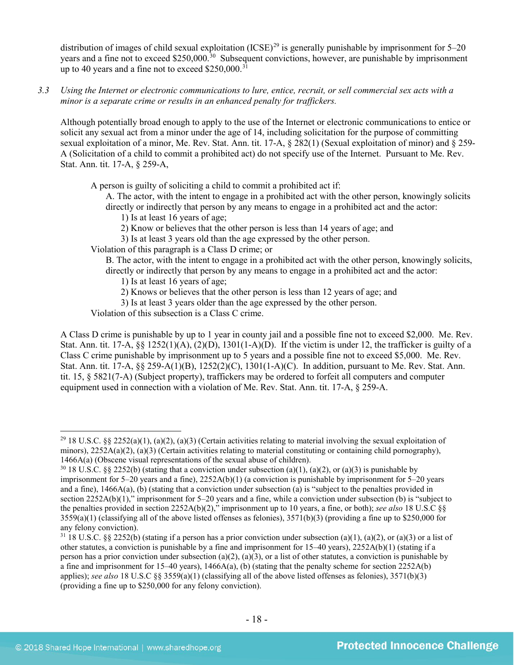distribution of images of child sexual exploitation  $(ICSE)^{29}$  $(ICSE)^{29}$  $(ICSE)^{29}$  is generally punishable by imprisonment for 5–20 years and a fine not to exceed \$250,000.<sup>30</sup> Subsequent convictions, however, are punishable by imprisonment up to 40 years and a fine not to exceed  $$250,000$ .<sup>[31](#page-17-2)</sup>

*3.3 Using the Internet or electronic communications to lure, entice, recruit, or sell commercial sex acts with a minor is a separate crime or results in an enhanced penalty for traffickers.*

Although potentially broad enough to apply to the use of the Internet or electronic communications to entice or solicit any sexual act from a minor under the age of 14, including solicitation for the purpose of committing sexual exploitation of a minor, Me. Rev. Stat. Ann. tit. 17-A, § 282(1) (Sexual exploitation of minor) and § 259- A (Solicitation of a child to commit a prohibited act) do not specify use of the Internet. Pursuant to Me. Rev. Stat. Ann. tit. 17-A, § 259-A,

A person is guilty of soliciting a child to commit a prohibited act if:

A. The actor, with the intent to engage in a prohibited act with the other person, knowingly solicits directly or indirectly that person by any means to engage in a prohibited act and the actor:

- 1) Is at least 16 years of age;
- 2) Know or believes that the other person is less than 14 years of age; and
- 3) Is at least 3 years old than the age expressed by the other person.

Violation of this paragraph is a Class D crime; or

B. The actor, with the intent to engage in a prohibited act with the other person, knowingly solicits, directly or indirectly that person by any means to engage in a prohibited act and the actor:

1) Is at least 16 years of age;

- 2) Knows or believes that the other person is less than 12 years of age; and
- 3) Is at least 3 years older than the age expressed by the other person.

Violation of this subsection is a Class C crime.

A Class D crime is punishable by up to 1 year in county jail and a possible fine not to exceed \$2,000. Me. Rev. Stat. Ann. tit. 17-A,  $\S$ § 1252(1)(A), (2)(D), 1301(1-A)(D). If the victim is under 12, the trafficker is guilty of a Class C crime punishable by imprisonment up to 5 years and a possible fine not to exceed \$5,000. Me. Rev. Stat. Ann. tit. 17-A, §§ 259-A(1)(B), 1252(2)(C), 1301(1-A)(C). In addition, pursuant to Me. Rev. Stat. Ann. tit. 15, § 5821(7-A) (Subject property), traffickers may be ordered to forfeit all computers and computer equipment used in connection with a violation of Me. Rev. Stat. Ann. tit. 17-A, § 259-A.

<span id="page-17-0"></span><sup>&</sup>lt;sup>29</sup> 18 U.S.C. §§ 2252(a)(1), (a)(2), (a)(3) (Certain activities relating to material involving the sexual exploitation of minors),  $2252A(a)(2)$ ,  $(a)(3)$  (Certain activities relating to material constituting or containing child pornography), 1466A(a) (Obscene visual representations of the sexual abuse of children).

<span id="page-17-1"></span><sup>&</sup>lt;sup>30</sup> 18 U.S.C. §§ 2252(b) (stating that a conviction under subsection (a)(1), (a)(2), or (a)(3) is punishable by imprisonment for 5–20 years and a fine), 2252A(b)(1) (a conviction is punishable by imprisonment for 5–20 years and a fine), 1466A(a), (b) (stating that a conviction under subsection (a) is "subject to the penalties provided in section 2252A(b)(1)," imprisonment for 5–20 years and a fine, while a conviction under subsection (b) is "subject to the penalties provided in section 2252A(b)(2)," imprisonment up to 10 years, a fine, or both); *see also* 18 U.S.C §§  $3559(a)(1)$  (classifying all of the above listed offenses as felonies),  $3571(b)(3)$  (providing a fine up to \$250,000 for any felony conviction).

<span id="page-17-2"></span> $31\,18$  U.S.C. §§ 2252(b) (stating if a person has a prior conviction under subsection (a)(1), (a)(2), or (a)(3) or a list of other statutes, a conviction is punishable by a fine and imprisonment for  $15-40$  years),  $2252A(b)(1)$  (stating if a person has a prior conviction under subsection (a)(2), (a)(3), or a list of other statutes, a conviction is punishable by a fine and imprisonment for  $15-40$  years),  $1466A(a)$ , (b) (stating that the penalty scheme for section  $2252A(b)$ applies); *see also* 18 U.S.C §§ 3559(a)(1) (classifying all of the above listed offenses as felonies), 3571(b)(3) (providing a fine up to \$250,000 for any felony conviction).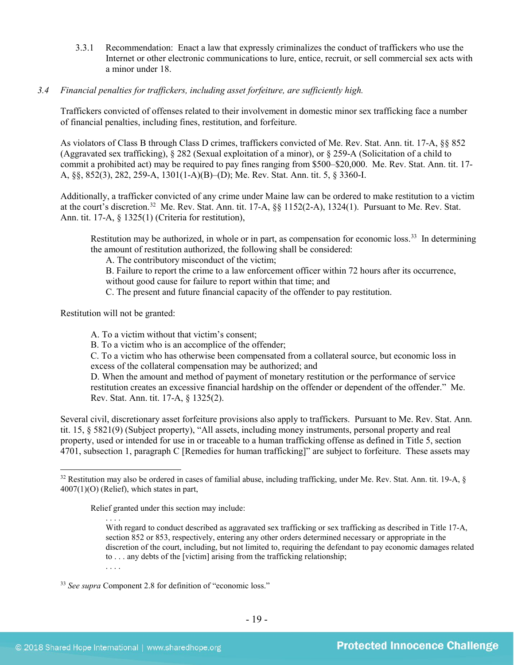- 3.3.1 Recommendation: Enact a law that expressly criminalizes the conduct of traffickers who use the Internet or other electronic communications to lure, entice, recruit, or sell commercial sex acts with a minor under 18.
- *3.4 Financial penalties for traffickers, including asset forfeiture, are sufficiently high.*

Traffickers convicted of offenses related to their involvement in domestic minor sex trafficking face a number of financial penalties, including fines, restitution, and forfeiture.

As violators of Class B through Class D crimes, traffickers convicted of Me. Rev. Stat. Ann. tit. 17-A, §§ 852 (Aggravated sex trafficking), § 282 (Sexual exploitation of a minor), or § 259-A (Solicitation of a child to commit a prohibited act) may be required to pay fines ranging from \$500–\$20,000. Me. Rev. Stat. Ann. tit. 17- A, §§, 852(3), 282, 259-A, 1301(1-A)(B)–(D); Me. Rev. Stat. Ann. tit. 5, § 3360-I.

Additionally, a trafficker convicted of any crime under Maine law can be ordered to make restitution to a victim at the court's discretion.<sup>32</sup> Me. Rev. Stat. Ann. tit. 17-A,  $\S\S 1152(2-A)$ , 1324(1). Pursuant to Me. Rev. Stat. Ann. tit. 17-A, § 1325(1) (Criteria for restitution).

Restitution may be authorized, in whole or in part, as compensation for economic loss.<sup>33</sup> In determining the amount of restitution authorized, the following shall be considered:

A. The contributory misconduct of the victim;

B. Failure to report the crime to a law enforcement officer within 72 hours after its occurrence, without good cause for failure to report within that time; and

C. The present and future financial capacity of the offender to pay restitution.

Restitution will not be granted:

A. To a victim without that victim's consent;

B. To a victim who is an accomplice of the offender;

C. To a victim who has otherwise been compensated from a collateral source, but economic loss in excess of the collateral compensation may be authorized; and

D. When the amount and method of payment of monetary restitution or the performance of service restitution creates an excessive financial hardship on the offender or dependent of the offender." Me. Rev. Stat. Ann. tit. 17-A, § 1325(2).

Several civil, discretionary asset forfeiture provisions also apply to traffickers. Pursuant to Me. Rev. Stat. Ann. tit. 15, § 5821(9) (Subject property), "All assets, including money instruments, personal property and real property, used or intended for use in or traceable to a human trafficking offense as defined in Title 5, section 4701, subsection 1, paragraph C [Remedies for human trafficking]" are subject to forfeiture. These assets may

Relief granted under this section may include:

. . . . With regard to conduct described as aggravated sex trafficking or sex trafficking as described in Title 17-A, section 852 or 853, respectively, entering any other orders determined necessary or appropriate in the discretion of the court, including, but not limited to, requiring the defendant to pay economic damages related to . . . any debts of the [victim] arising from the trafficking relationship;

. . . .

<span id="page-18-0"></span><sup>&</sup>lt;sup>32</sup> Restitution may also be ordered in cases of familial abuse, including trafficking, under Me. Rev. Stat. Ann. tit. 19-A, § 4007(1)(O) (Relief), which states in part,

<span id="page-18-1"></span><sup>33</sup> *See supra* Component 2.8 for definition of "economic loss."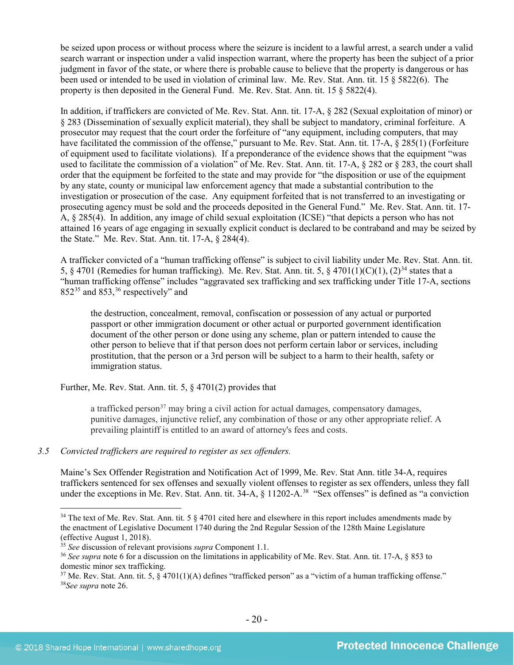be seized upon process or without process where the seizure is incident to a lawful arrest, a search under a valid search warrant or inspection under a valid inspection warrant, where the property has been the subject of a prior judgment in favor of the state, or where there is probable cause to believe that the property is dangerous or has been used or intended to be used in violation of criminal law. Me. Rev. Stat. Ann. tit. 15 § 5822(6). The property is then deposited in the General Fund. Me. Rev. Stat. Ann. tit.  $15 \text{ } \text{\$ } 5822(4)$ .

In addition, if traffickers are convicted of Me. Rev. Stat. Ann. tit. 17-A, § 282 (Sexual exploitation of minor) or § 283 (Dissemination of sexually explicit material), they shall be subject to mandatory, criminal forfeiture. A prosecutor may request that the court order the forfeiture of "any equipment, including computers, that may have facilitated the commission of the offense," pursuant to Me. Rev. Stat. Ann. tit. 17-A, § 285(1) (Forfeiture of equipment used to facilitate violations). If a preponderance of the evidence shows that the equipment "was used to facilitate the commission of a violation" of Me. Rev. Stat. Ann. tit. 17-A, § 282 or § 283, the court shall order that the equipment be forfeited to the state and may provide for "the disposition or use of the equipment by any state, county or municipal law enforcement agency that made a substantial contribution to the investigation or prosecution of the case. Any equipment forfeited that is not transferred to an investigating or prosecuting agency must be sold and the proceeds deposited in the General Fund." Me. Rev. Stat. Ann. tit. 17- A, § 285(4). In addition, any image of child sexual exploitation (ICSE) "that depicts a person who has not attained 16 years of age engaging in sexually explicit conduct is declared to be contraband and may be seized by the State." Me. Rev. Stat. Ann. tit. 17-A, § 284(4).

A trafficker convicted of a "human trafficking offense" is subject to civil liability under Me. Rev. Stat. Ann. tit. 5, § 4701 (Remedies for human trafficking). Me. Rev. Stat. Ann. tit. 5, § 4701(1)(C)(1), (2)<sup>[34](#page-19-0)</sup> states that a "human trafficking offense" includes "aggravated sex trafficking and sex trafficking under Title 17-A, sections  $852^{35}$  $852^{35}$  $852^{35}$  and  $853$ ,  $36$  respectively" and

the destruction, concealment, removal, confiscation or possession of any actual or purported passport or other immigration document or other actual or purported government identification document of the other person or done using any scheme, plan or pattern intended to cause the other person to believe that if that person does not perform certain labor or services, including prostitution, that the person or a 3rd person will be subject to a harm to their health, safety or immigration status.

Further, Me. Rev. Stat. Ann. tit. 5, § 4701(2) provides that

a trafficked person<sup>[37](#page-19-3)</sup> may bring a civil action for actual damages, compensatory damages, punitive damages, injunctive relief, any combination of those or any other appropriate relief. A prevailing plaintiff is entitled to an award of attorney's fees and costs.

## *3.5 Convicted traffickers are required to register as sex offenders.*

Maine's Sex Offender Registration and Notification Act of 1999, Me. Rev. Stat Ann. title 34-A, requires traffickers sentenced for sex offenses and sexually violent offenses to register as sex offenders, unless they fall under the exceptions in Me. Rev. Stat. Ann. tit. 34-A, § 11202-A.<sup>38</sup> "Sex offenses" is defined as "a conviction

<span id="page-19-0"></span><sup>&</sup>lt;sup>34</sup> The text of Me. Rev. Stat. Ann. tit. 5  $\S$  4701 cited here and elsewhere in this report includes amendments made by the enactment of Legislative Document 1740 during the 2nd Regular Session of the 128th Maine Legislature (effective August 1, 2018).

<span id="page-19-1"></span><sup>35</sup> *See* discussion of relevant provisions *supra* Component 1.1.

<span id="page-19-2"></span><sup>36</sup> *See supra* note [6](#page-2-2) for a discussion on the limitations in applicability of Me. Rev. Stat. Ann. tit. 17-A, § 853 to domestic minor sex trafficking.

<span id="page-19-4"></span><span id="page-19-3"></span> $37$  Me. Rev. Stat. Ann. tit. 5, § 4701(1)(A) defines "trafficked person" as a "victim of a human trafficking offense." <sup>38</sup>*See supra* note [26.](#page-13-4)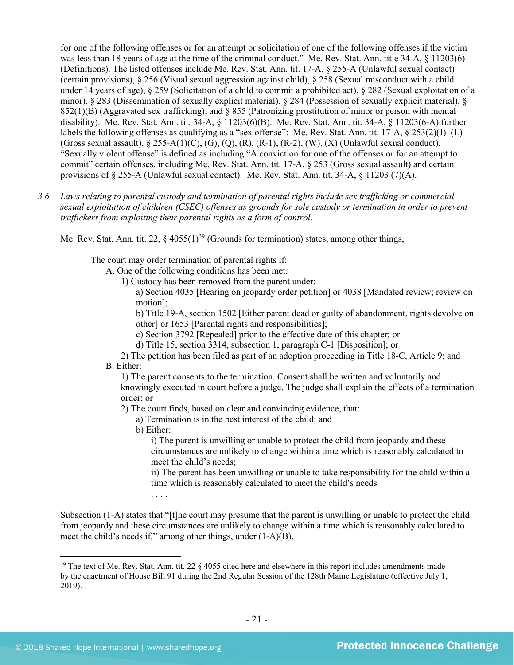for one of the following offenses or for an attempt or solicitation of one of the following offenses if the victim was less than 18 years of age at the time of the criminal conduct." Me. Rev. Stat. Ann. title 34-A,  $\S$  11203(6) (Definitions). The listed offenses include Me. Rev. Stat. Ann. tit. 17-A, § 255-A (Unlawful sexual contact) (certain provisions),  $\S 256$  (Visual sexual aggression against child),  $\S 258$  (Sexual misconduct with a child under 14 years of age), § 259 (Solicitation of a child to commit a prohibited act), § 282 (Sexual exploitation of a minor), § 283 (Dissemination of sexually explicit material), § 284 (Possession of sexually explicit material), §  $852(1)(B)$  (Aggravated sex trafficking), and § 855 (Patronizing prostitution of minor or person with mental disability). Me. Rev. Stat. Ann. tit. 34-A, § 11203(6)(B). Me. Rev. Stat. Ann. tit. 34-A, § 11203(6-A) further labels the following offenses as qualifying as a "sex offense": Me. Rev. Stat. Ann. tit. 17-A, § 253(2)(J)–(L) (Gross sexual assault), § 255-A(1)(C), (G), (Q), (R), (R-1), (R-2), (W), (X) (Unlawful sexual conduct). "Sexually violent offense" is defined as including "A conviction for one of the offenses or for an attempt to commit" certain offenses, including Me. Rev. Stat. Ann. tit. 17-A, § 253 (Gross sexual assault) and certain provisions of § 255-A (Unlawful sexual contact). Me. Rev. Stat. Ann. tit. 34-A, § 11203 (7)(A).

*3.6 Laws relating to parental custody and termination of parental rights include sex trafficking or commercial sexual exploitation of children (CSEC) offenses as grounds for sole custody or termination in order to prevent traffickers from exploiting their parental rights as a form of control.* 

Me. Rev. Stat. Ann. tit. 22,  $\S$  4055(1)<sup>[39](#page-20-0)</sup> (Grounds for termination) states, among other things,

The court may order termination of parental rights if:

A. One of the following conditions has been met:

1) Custody has been removed from the parent under:

a) Section 4035 [Hearing on jeopardy order petition] or 4038 [Mandated review; review on motion];

b) Title 19-A, section 1502 [Either parent dead or guilty of abandonment, rights devolve on other] or 1653 [Parental rights and responsibilities];

c) Section 3792 [Repealed] prior to the effective date of this chapter; or

d) Title 15, section 3314, subsection 1, paragraph C-1 [Disposition]; or

2) The petition has been filed as part of an adoption proceeding in Title 18-C, Article 9; and B. Either:

1) The parent consents to the termination. Consent shall be written and voluntarily and knowingly executed in court before a judge. The judge shall explain the effects of a termination order; or

2) The court finds, based on clear and convincing evidence, that:

a) Termination is in the best interest of the child; and

b) Either:

. . . .

i) The parent is unwilling or unable to protect the child from jeopardy and these circumstances are unlikely to change within a time which is reasonably calculated to meet the child's needs;

ii) The parent has been unwilling or unable to take responsibility for the child within a time which is reasonably calculated to meet the child's needs

Subsection (1-A) states that "[t]he court may presume that the parent is unwilling or unable to protect the child from jeopardy and these circumstances are unlikely to change within a time which is reasonably calculated to meet the child's needs if," among other things, under (1-A)(B),

<span id="page-20-0"></span><sup>&</sup>lt;sup>39</sup> The text of Me. Rev. Stat. Ann. tit. 22  $\S$  4055 cited here and elsewhere in this report includes amendments made by the enactment of House Bill 91 during the 2nd Regular Session of the 128th Maine Legislature (effective July 1, 2019).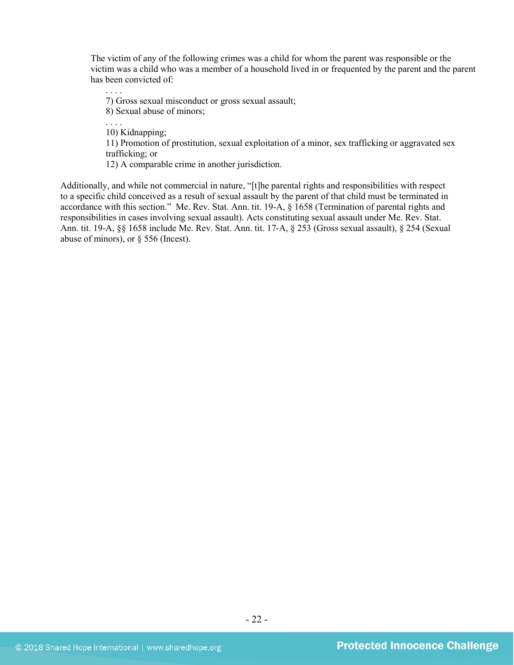The victim of any of the following crimes was a child for whom the parent was responsible or the victim was a child who was a member of a household lived in or frequented by the parent and the parent has been convicted of:

. . . . 7) Gross sexual misconduct or gross sexual assault; 8) Sexual abuse of minors;

. . . . 10) Kidnapping;

11) Promotion of prostitution, sexual exploitation of a minor, sex trafficking or aggravated sex trafficking; or

12) A comparable crime in another jurisdiction.

Additionally, and while not commercial in nature, "[t]he parental rights and responsibilities with respect to a specific child conceived as a result of sexual assault by the parent of that child must be terminated in accordance with this section." Me. Rev. Stat. Ann. tit. 19-A, § 1658 (Termination of parental rights and responsibilities in cases involving sexual assault). Acts constituting sexual assault under Me. Rev. Stat. Ann. tit. 19-A, §§ 1658 include Me. Rev. Stat. Ann. tit. 17-A, § 253 (Gross sexual assault), § 254 (Sexual abuse of minors), or § 556 (Incest).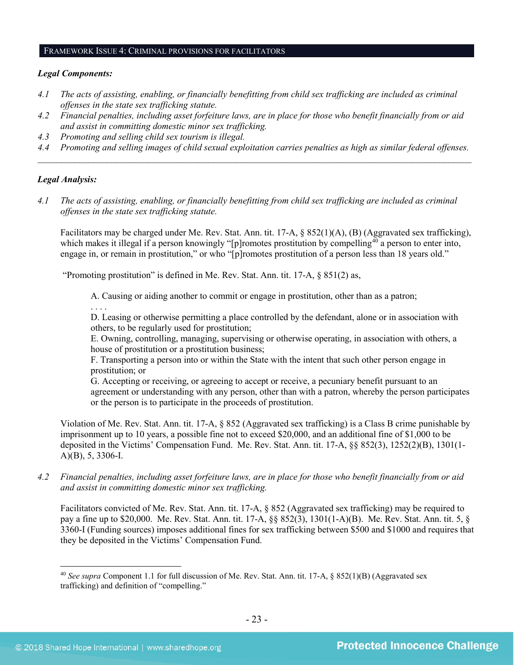#### FRAMEWORK ISSUE 4: CRIMINAL PROVISIONS FOR FACILITATORS

#### *Legal Components:*

- *4.1 The acts of assisting, enabling, or financially benefitting from child sex trafficking are included as criminal offenses in the state sex trafficking statute.*
- *4.2 Financial penalties, including asset forfeiture laws, are in place for those who benefit financially from or aid and assist in committing domestic minor sex trafficking.*
- *4.3 Promoting and selling child sex tourism is illegal.*
- *4.4 Promoting and selling images of child sexual exploitation carries penalties as high as similar federal offenses. \_\_\_\_\_\_\_\_\_\_\_\_\_\_\_\_\_\_\_\_\_\_\_\_\_\_\_\_\_\_\_\_\_\_\_\_\_\_\_\_\_\_\_\_\_\_\_\_\_\_\_\_\_\_\_\_\_\_\_\_\_\_\_\_\_\_\_\_\_\_\_\_\_\_\_\_\_\_\_\_\_\_\_\_\_\_\_\_\_\_\_\_\_\_*

#### *Legal Analysis:*

*4.1 The acts of assisting, enabling, or financially benefitting from child sex trafficking are included as criminal offenses in the state sex trafficking statute.*

Facilitators may be charged under Me. Rev. Stat. Ann. tit. 17-A, § 852(1)(A), (B) (Aggravated sex trafficking), which makes it illegal if a person knowingly "[p]romotes prostitution by compelling<sup>[40](#page-22-0)</sup> a person to enter into, engage in, or remain in prostitution," or who "[p]romotes prostitution of a person less than 18 years old."

"Promoting prostitution" is defined in Me. Rev. Stat. Ann. tit. 17-A, § 851(2) as,

A. Causing or aiding another to commit or engage in prostitution, other than as a patron;

. . . .

D. Leasing or otherwise permitting a place controlled by the defendant, alone or in association with others, to be regularly used for prostitution;

E. Owning, controlling, managing, supervising or otherwise operating, in association with others, a house of prostitution or a prostitution business;

F. Transporting a person into or within the State with the intent that such other person engage in prostitution; or

G. Accepting or receiving, or agreeing to accept or receive, a pecuniary benefit pursuant to an agreement or understanding with any person, other than with a patron, whereby the person participates or the person is to participate in the proceeds of prostitution.

Violation of Me. Rev. Stat. Ann. tit. 17-A, § 852 (Aggravated sex trafficking) is a Class B crime punishable by imprisonment up to 10 years, a possible fine not to exceed \$20,000, and an additional fine of \$1,000 to be deposited in the Victims' Compensation Fund. Me. Rev. Stat. Ann. tit. 17-A, §§ 852(3), 1252(2)(B), 1301(1- A)(B), 5, 3306-I.

*4.2 Financial penalties, including asset forfeiture laws, are in place for those who benefit financially from or aid and assist in committing domestic minor sex trafficking.*

Facilitators convicted of Me. Rev. Stat. Ann. tit. 17-A, § 852 (Aggravated sex trafficking) may be required to pay a fine up to \$20,000. Me. Rev. Stat. Ann. tit. 17-A, §§ 852(3), 1301(1-A)(B). Me. Rev. Stat. Ann. tit. 5, § 3360-I (Funding sources) imposes additional fines for sex trafficking between \$500 and \$1000 and requires that they be deposited in the Victims' Compensation Fund.

<span id="page-22-0"></span><sup>&</sup>lt;sup>40</sup> See supra Component 1.1 for full discussion of Me. Rev. Stat. Ann. tit. 17-A, § 852(1)(B) (Aggravated sex trafficking) and definition of "compelling."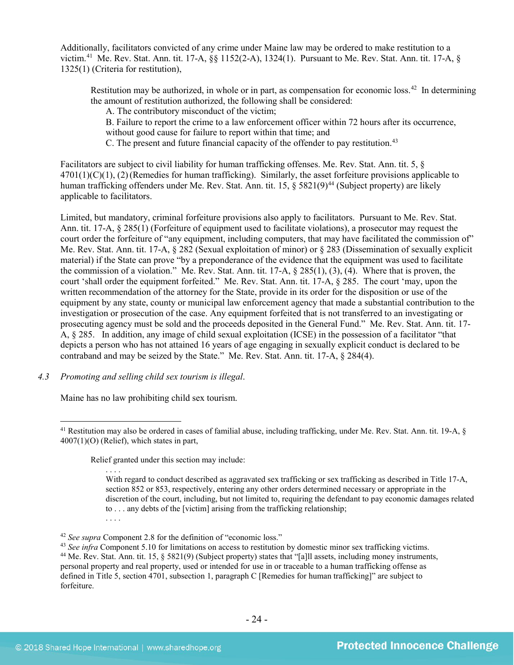Additionally, facilitators convicted of any crime under Maine law may be ordered to make restitution to a victim.[41](#page-23-0) Me. Rev. Stat. Ann. tit. 17-A, §§ 1152(2-A), 1324(1). Pursuant to Me. Rev. Stat. Ann. tit. 17-A, § 1325(1) (Criteria for restitution),

Restitution may be authorized, in whole or in part, as compensation for economic loss.<sup>42</sup> In determining the amount of restitution authorized, the following shall be considered:

A. The contributory misconduct of the victim;

B. Failure to report the crime to a law enforcement officer within 72 hours after its occurrence, without good cause for failure to report within that time; and

C. The present and future financial capacity of the offender to pay restitution.<sup>43</sup>

Facilitators are subject to civil liability for human trafficking offenses. Me. Rev. Stat. Ann. tit. 5, §  $4701(1)(C)(1)$ , (2)(Remedies for human trafficking). Similarly, the asset for feiture provisions applicable to human trafficking offenders under Me. Rev. Stat. Ann. tit. 15, § 5821(9)<sup>[44](#page-23-3)</sup> (Subject property) are likely applicable to facilitators.

Limited, but mandatory, criminal forfeiture provisions also apply to facilitators. Pursuant to Me. Rev. Stat. Ann. tit. 17-A, § 285(1) (Forfeiture of equipment used to facilitate violations), a prosecutor may request the court order the forfeiture of "any equipment, including computers, that may have facilitated the commission of" Me. Rev. Stat. Ann. tit. 17-A, § 282 (Sexual exploitation of minor) or § 283 (Dissemination of sexually explicit material) if the State can prove "by a preponderance of the evidence that the equipment was used to facilitate the commission of a violation." Me. Rev. Stat. Ann. tit. 17-A, § 285(1), (3), (4). Where that is proven, the court 'shall order the equipment forfeited." Me. Rev. Stat. Ann. tit. 17-A, § 285. The court 'may, upon the written recommendation of the attorney for the State, provide in its order for the disposition or use of the equipment by any state, county or municipal law enforcement agency that made a substantial contribution to the investigation or prosecution of the case. Any equipment forfeited that is not transferred to an investigating or prosecuting agency must be sold and the proceeds deposited in the General Fund." Me. Rev. Stat. Ann. tit. 17- A, § 285. In addition, any image of child sexual exploitation (ICSE) in the possession of a facilitator "that depicts a person who has not attained 16 years of age engaging in sexually explicit conduct is declared to be contraband and may be seized by the State." Me. Rev. Stat. Ann. tit. 17-A, § 284(4).

*4.3 Promoting and selling child sex tourism is illegal*.

Maine has no law prohibiting child sex tourism.

Relief granted under this section may include:

. . . . With regard to conduct described as aggravated sex trafficking or sex trafficking as described in Title 17-A, section 852 or 853, respectively, entering any other orders determined necessary or appropriate in the discretion of the court, including, but not limited to, requiring the defendant to pay economic damages related to . . . any debts of the [victim] arising from the trafficking relationship; . . . .

<span id="page-23-1"></span><sup>42</sup> *See supra* Component 2.8 for the definition of "economic loss."

<span id="page-23-0"></span> <sup>41</sup> Restitution may also be ordered in cases of familial abuse, including trafficking, under Me. Rev. Stat. Ann. tit. 19-A, § 4007(1)(O) (Relief), which states in part,

<span id="page-23-3"></span><span id="page-23-2"></span><sup>&</sup>lt;sup>43</sup> *See infra* Component 5.10 for limitations on access to restitution by domestic minor sex trafficking victims. <sup>44</sup> Me. Rev. Stat. Ann. tit. 15, § 5821(9) (Subject property) states that "[a]ll assets, including money instruments, personal property and real property, used or intended for use in or traceable to a human trafficking offense as defined in Title 5, section 4701, subsection 1, paragraph C [Remedies for human trafficking]" are subject to forfeiture.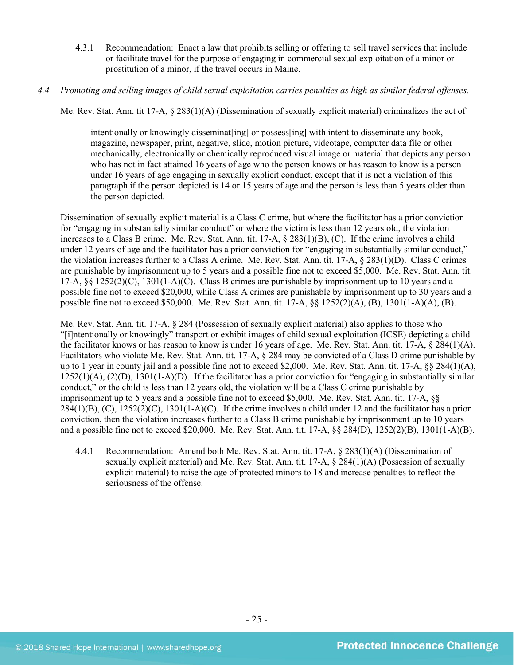- 4.3.1 Recommendation: Enact a law that prohibits selling or offering to sell travel services that include or facilitate travel for the purpose of engaging in commercial sexual exploitation of a minor or prostitution of a minor, if the travel occurs in Maine.
- *4.4 Promoting and selling images of child sexual exploitation carries penalties as high as similar federal offenses.*

Me. Rev. Stat. Ann. tit 17-A, § 283(1)(A) (Dissemination of sexually explicit material) criminalizes the act of

intentionally or knowingly disseminat [ing] or possess [ing] with intent to disseminate any book, magazine, newspaper, print, negative, slide, motion picture, videotape, computer data file or other mechanically, electronically or chemically reproduced visual image or material that depicts any person who has not in fact attained 16 years of age who the person knows or has reason to know is a person under 16 years of age engaging in sexually explicit conduct, except that it is not a violation of this paragraph if the person depicted is 14 or 15 years of age and the person is less than 5 years older than the person depicted.

Dissemination of sexually explicit material is a Class C crime, but where the facilitator has a prior conviction for "engaging in substantially similar conduct" or where the victim is less than 12 years old, the violation increases to a Class B crime. Me. Rev. Stat. Ann. tit. 17-A, § 283(1)(B), (C). If the crime involves a child under 12 years of age and the facilitator has a prior conviction for "engaging in substantially similar conduct," the violation increases further to a Class A crime. Me. Rev. Stat. Ann. tit. 17-A, § 283(1)(D). Class C crimes are punishable by imprisonment up to 5 years and a possible fine not to exceed \$5,000. Me. Rev. Stat. Ann. tit. 17-A, §§ 1252(2)(C), 1301(1-A)(C). Class B crimes are punishable by imprisonment up to 10 years and a possible fine not to exceed \$20,000, while Class A crimes are punishable by imprisonment up to 30 years and a possible fine not to exceed \$50,000. Me. Rev. Stat. Ann. tit. 17-A, §§ 1252(2)(A), (B), 1301(1-A)(A), (B).

Me. Rev. Stat. Ann. tit. 17-A, § 284 (Possession of sexually explicit material) also applies to those who "[i]ntentionally or knowingly" transport or exhibit images of child sexual exploitation (ICSE) depicting a child the facilitator knows or has reason to know is under 16 years of age. Me. Rev. Stat. Ann. tit. 17-A,  $\S 284(1)(A)$ . Facilitators who violate Me. Rev. Stat. Ann. tit. 17-A, § 284 may be convicted of a Class D crime punishable by up to 1 year in county jail and a possible fine not to exceed \$2,000. Me. Rev. Stat. Ann. tit. 17-A, §§ 284(1)(A),  $1252(1)(A)$ ,  $(2)(D)$ ,  $1301(1-A)(D)$ . If the facilitator has a prior conviction for "engaging in substantially similar conduct," or the child is less than 12 years old, the violation will be a Class C crime punishable by imprisonment up to 5 years and a possible fine not to exceed \$5,000. Me. Rev. Stat. Ann. tit. 17-A, §§  $284(1)(B)$ , (C),  $1252(2)(C)$ ,  $1301(1-A)(C)$ . If the crime involves a child under 12 and the facilitator has a prior conviction, then the violation increases further to a Class B crime punishable by imprisonment up to 10 years and a possible fine not to exceed \$20,000. Me. Rev. Stat. Ann. tit. 17-A, §§ 284(D), 1252(2)(B), 1301(1-A)(B).

4.4.1 Recommendation: Amend both Me. Rev. Stat. Ann. tit. 17-A, § 283(1)(A) (Dissemination of sexually explicit material) and Me. Rev. Stat. Ann. tit. 17-A, § 284(1)(A) (Possession of sexually explicit material) to raise the age of protected minors to 18 and increase penalties to reflect the seriousness of the offense.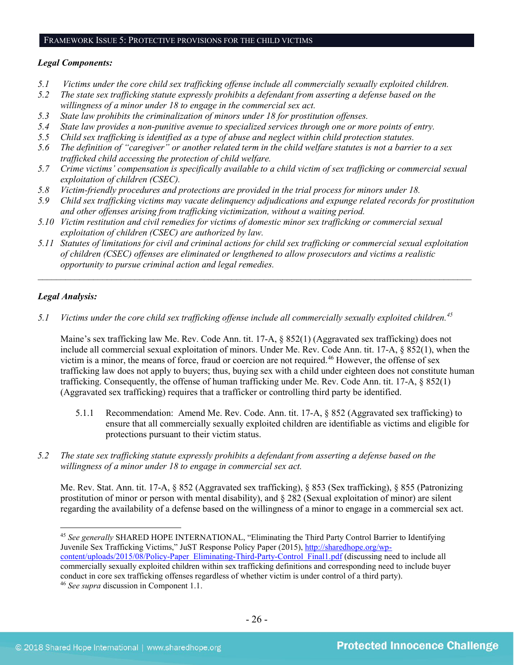#### FRAMEWORK ISSUE 5: PROTECTIVE PROVISIONS FOR THE CHILD VICTIMS

#### *Legal Components:*

- *5.1 Victims under the core child sex trafficking offense include all commercially sexually exploited children.*
- *5.2 The state sex trafficking statute expressly prohibits a defendant from asserting a defense based on the willingness of a minor under 18 to engage in the commercial sex act.*
- *5.3 State law prohibits the criminalization of minors under 18 for prostitution offenses.*
- *5.4 State law provides a non-punitive avenue to specialized services through one or more points of entry.*
- *5.5 Child sex trafficking is identified as a type of abuse and neglect within child protection statutes.*
- *5.6 The definition of "caregiver" or another related term in the child welfare statutes is not a barrier to a sex trafficked child accessing the protection of child welfare.*
- *5.7 Crime victims' compensation is specifically available to a child victim of sex trafficking or commercial sexual exploitation of children (CSEC).*
- *5.8 Victim-friendly procedures and protections are provided in the trial process for minors under 18.*
- *5.9 Child sex trafficking victims may vacate delinquency adjudications and expunge related records for prostitution and other offenses arising from trafficking victimization, without a waiting period.*
- *5.10 Victim restitution and civil remedies for victims of domestic minor sex trafficking or commercial sexual exploitation of children (CSEC) are authorized by law.*
- *5.11 Statutes of limitations for civil and criminal actions for child sex trafficking or commercial sexual exploitation of children (CSEC) offenses are eliminated or lengthened to allow prosecutors and victims a realistic opportunity to pursue criminal action and legal remedies.*

*\_\_\_\_\_\_\_\_\_\_\_\_\_\_\_\_\_\_\_\_\_\_\_\_\_\_\_\_\_\_\_\_\_\_\_\_\_\_\_\_\_\_\_\_\_\_\_\_\_\_\_\_\_\_\_\_\_\_\_\_\_\_\_\_\_\_\_\_\_\_\_\_\_\_\_\_\_\_\_\_\_\_\_\_\_\_\_\_\_\_\_\_\_\_*

## *Legal Analysis:*

*5.1 Victims under the core child sex trafficking offense include all commercially sexually exploited children. [45](#page-25-0)*

Maine's sex trafficking law Me. Rev. Code Ann. tit. 17-A, § 852(1) (Aggravated sex trafficking) does not include all commercial sexual exploitation of minors. Under Me. Rev. Code Ann. tit. 17-A, § 852(1), when the victim is a minor, the means of force, fraud or coercion are not required.<sup>[46](#page-25-1)</sup> However, the offense of sex trafficking law does not apply to buyers; thus, buying sex with a child under eighteen does not constitute human trafficking. Consequently, the offense of human trafficking under Me. Rev. Code Ann. tit. 17-A, § 852(1) (Aggravated sex trafficking) requires that a trafficker or controlling third party be identified.

- 5.1.1 Recommendation: Amend Me. Rev. Code. Ann. tit. 17-A, § 852 (Aggravated sex trafficking) to ensure that all commercially sexually exploited children are identifiable as victims and eligible for protections pursuant to their victim status.
- *5.2 The state sex trafficking statute expressly prohibits a defendant from asserting a defense based on the willingness of a minor under 18 to engage in commercial sex act.*

Me. Rev. Stat. Ann. tit. 17-A, § 852 (Aggravated sex trafficking), § 853 (Sex trafficking), § 855 (Patronizing prostitution of minor or person with mental disability), and § 282 (Sexual exploitation of minor) are silent regarding the availability of a defense based on the willingness of a minor to engage in a commercial sex act.

<span id="page-25-1"></span><span id="page-25-0"></span> <sup>45</sup> *See generally* SHARED HOPE INTERNATIONAL, "Eliminating the Third Party Control Barrier to Identifying Juvenile Sex Trafficking Victims," JuST Response Policy Paper (2015), [http://sharedhope.org/wp](http://sharedhope.org/wp-content/uploads/2015/08/Policy-Paper_Eliminating-Third-Party-Control_Final1.pdf)[content/uploads/2015/08/Policy-Paper\\_Eliminating-Third-Party-Control\\_Final1.pdf](http://sharedhope.org/wp-content/uploads/2015/08/Policy-Paper_Eliminating-Third-Party-Control_Final1.pdf) (discussing need to include all commercially sexually exploited children within sex trafficking definitions and corresponding need to include buyer conduct in core sex trafficking offenses regardless of whether victim is under control of a third party). 46 *See supra* discussion in Component 1.1.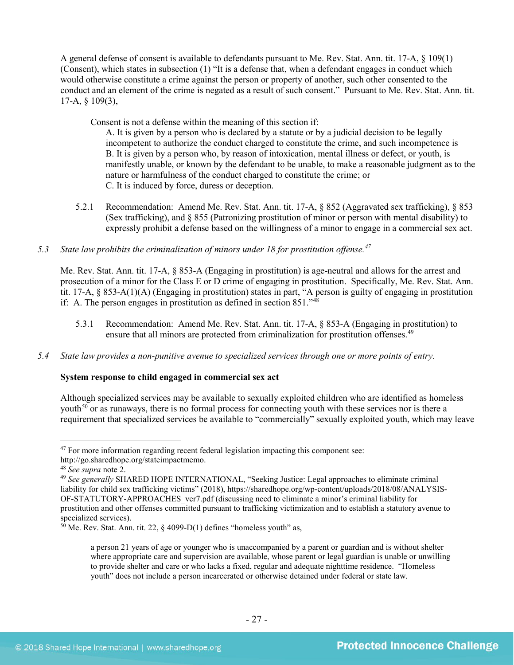A general defense of consent is available to defendants pursuant to Me. Rev. Stat. Ann. tit. 17-A, § 109(1) (Consent), which states in subsection (1) "It is a defense that, when a defendant engages in conduct which would otherwise constitute a crime against the person or property of another, such other consented to the conduct and an element of the crime is negated as a result of such consent." Pursuant to Me. Rev. Stat. Ann. tit. 17-A, § 109(3),

Consent is not a defense within the meaning of this section if:

A. It is given by a person who is declared by a statute or by a judicial decision to be legally incompetent to authorize the conduct charged to constitute the crime, and such incompetence is B. It is given by a person who, by reason of intoxication, mental illness or defect, or youth, is manifestly unable, or known by the defendant to be unable, to make a reasonable judgment as to the nature or harmfulness of the conduct charged to constitute the crime; or C. It is induced by force, duress or deception.

5.2.1 Recommendation: Amend Me. Rev. Stat. Ann. tit. 17-A, § 852 (Aggravated sex trafficking), § 853 (Sex trafficking), and § 855 (Patronizing prostitution of minor or person with mental disability) to expressly prohibit a defense based on the willingness of a minor to engage in a commercial sex act.

## *5.3 State law prohibits the criminalization of minors under 18 for prostitution offense.[47](#page-26-0)*

Me. Rev. Stat. Ann. tit. 17-A, § 853-A (Engaging in prostitution) is age-neutral and allows for the arrest and prosecution of a minor for the Class E or D crime of engaging in prostitution. Specifically, Me. Rev. Stat. Ann. tit. 17-A, § 853-A(1)(A) (Engaging in prostitution) states in part, "A person is guilty of engaging in prostitution if: A. The person engages in prostitution as defined in section 851."[48](#page-26-1)

5.3.1 Recommendation: Amend Me. Rev. Stat. Ann. tit. 17-A, § 853-A (Engaging in prostitution) to ensure that all minors are protected from criminalization for prostitution offenses.<sup>[49](#page-26-2)</sup>

## *5.4 State law provides a non-punitive avenue to specialized services through one or more points of entry.*

## **System response to child engaged in commercial sex act**

Although specialized services may be available to sexually exploited children who are identified as homeless youth<sup>[50](#page-26-3)</sup> or as runaways, there is no formal process for connecting youth with these services nor is there a requirement that specialized services be available to "commercially" sexually exploited youth, which may leave

<span id="page-26-0"></span> $47$  For more information regarding recent federal legislation impacting this component see: http://go.sharedhope.org/stateimpactmemo.

<sup>48</sup> *See supra* note [2.](#page-0-2)

<span id="page-26-2"></span><span id="page-26-1"></span><sup>49</sup> *See generally* SHARED HOPE INTERNATIONAL, "Seeking Justice: Legal approaches to eliminate criminal liability for child sex trafficking victims" (2018), https://sharedhope.org/wp-content/uploads/2018/08/ANALYSIS-OF-STATUTORY-APPROACHES\_ver7.pdf (discussing need to eliminate a minor's criminal liability for prostitution and other offenses committed pursuant to trafficking victimization and to establish a statutory avenue to specialized services).

<span id="page-26-3"></span> $50$  Me. Rev. Stat. Ann. tit. 22, § 4099-D(1) defines "homeless youth" as,

a person 21 years of age or younger who is unaccompanied by a parent or guardian and is without shelter where appropriate care and supervision are available, whose parent or legal guardian is unable or unwilling to provide shelter and care or who lacks a fixed, regular and adequate nighttime residence. "Homeless youth" does not include a person incarcerated or otherwise detained under federal or state law.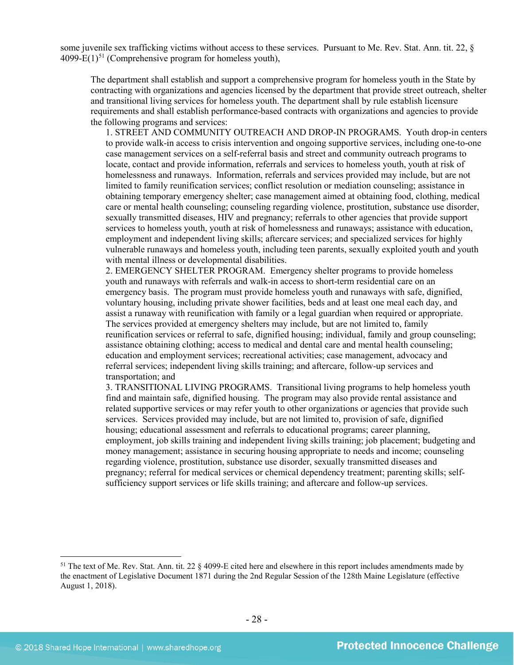some juvenile sex trafficking victims without access to these services. Pursuant to Me. Rev. Stat. Ann. tit. 22, § 4099-E(1)<sup>[51](#page-27-0)</sup> (Comprehensive program for homeless youth),

The department shall establish and support a comprehensive program for homeless youth in the State by contracting with organizations and agencies licensed by the department that provide street outreach, shelter and transitional living services for homeless youth. The department shall by rule establish licensure requirements and shall establish performance-based contracts with organizations and agencies to provide the following programs and services:

1. STREET AND COMMUNITY OUTREACH AND DROP-IN PROGRAMS. Youth drop-in centers to provide walk-in access to crisis intervention and ongoing supportive services, including one-to-one case management services on a self-referral basis and street and community outreach programs to locate, contact and provide information, referrals and services to homeless youth, youth at risk of homelessness and runaways. Information, referrals and services provided may include, but are not limited to family reunification services; conflict resolution or mediation counseling; assistance in obtaining temporary emergency shelter; case management aimed at obtaining food, clothing, medical care or mental health counseling; counseling regarding violence, prostitution, substance use disorder, sexually transmitted diseases, HIV and pregnancy; referrals to other agencies that provide support services to homeless youth, youth at risk of homelessness and runaways; assistance with education, employment and independent living skills; aftercare services; and specialized services for highly vulnerable runaways and homeless youth, including teen parents, sexually exploited youth and youth with mental illness or developmental disabilities.

2. EMERGENCY SHELTER PROGRAM. Emergency shelter programs to provide homeless youth and runaways with referrals and walk-in access to short-term residential care on an emergency basis. The program must provide homeless youth and runaways with safe, dignified, voluntary housing, including private shower facilities, beds and at least one meal each day, and assist a runaway with reunification with family or a legal guardian when required or appropriate. The services provided at emergency shelters may include, but are not limited to, family reunification services or referral to safe, dignified housing; individual, family and group counseling; assistance obtaining clothing; access to medical and dental care and mental health counseling; education and employment services; recreational activities; case management, advocacy and referral services; independent living skills training; and aftercare, follow-up services and transportation; and

3. TRANSITIONAL LIVING PROGRAMS. Transitional living programs to help homeless youth find and maintain safe, dignified housing. The program may also provide rental assistance and related supportive services or may refer youth to other organizations or agencies that provide such services. Services provided may include, but are not limited to, provision of safe, dignified housing; educational assessment and referrals to educational programs; career planning, employment, job skills training and independent living skills training; job placement; budgeting and money management; assistance in securing housing appropriate to needs and income; counseling regarding violence, prostitution, substance use disorder, sexually transmitted diseases and pregnancy; referral for medical services or chemical dependency treatment; parenting skills; selfsufficiency support services or life skills training; and aftercare and follow-up services.

<span id="page-27-0"></span><sup>&</sup>lt;sup>51</sup> The text of Me. Rev. Stat. Ann. tit. 22 § 4099-E cited here and elsewhere in this report includes amendments made by the enactment of Legislative Document 1871 during the 2nd Regular Session of the 128th Maine Legislature (effective August 1, 2018).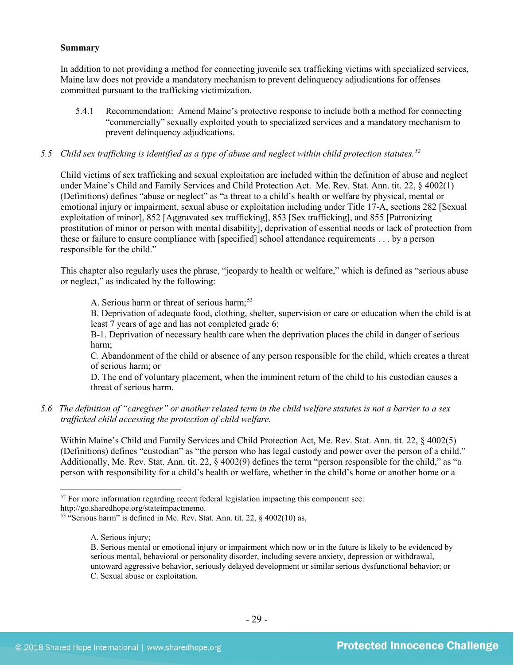#### **Summary**

In addition to not providing a method for connecting juvenile sex trafficking victims with specialized services, Maine law does not provide a mandatory mechanism to prevent delinquency adjudications for offenses committed pursuant to the trafficking victimization.

5.4.1 Recommendation: Amend Maine's protective response to include both a method for connecting "commercially" sexually exploited youth to specialized services and a mandatory mechanism to prevent delinquency adjudications.

## *5.5 Child sex trafficking is identified as a type of abuse and neglect within child protection statutes.[52](#page-28-0)*

Child victims of sex trafficking and sexual exploitation are included within the definition of abuse and neglect under Maine's Child and Family Services and Child Protection Act. Me. Rev. Stat. Ann. tit. 22, § 4002(1) (Definitions) defines "abuse or neglect" as "a threat to a child's health or welfare by physical, mental or emotional injury or impairment, sexual abuse or exploitation including under Title 17-A, sections 282 [Sexual exploitation of minor], 852 [Aggravated sex trafficking], 853 [Sex trafficking], and 855 [Patronizing prostitution of minor or person with mental disability], deprivation of essential needs or lack of protection from these or failure to ensure compliance with [specified] school attendance requirements . . . by a person responsible for the child."

This chapter also regularly uses the phrase, "jeopardy to health or welfare," which is defined as "serious abuse or neglect," as indicated by the following:

A. Serious harm or threat of serious harm; [53](#page-28-1)

B. Deprivation of adequate food, clothing, shelter, supervision or care or education when the child is at least 7 years of age and has not completed grade 6;

B-1. Deprivation of necessary health care when the deprivation places the child in danger of serious harm;

C. Abandonment of the child or absence of any person responsible for the child, which creates a threat of serious harm; or

D. The end of voluntary placement, when the imminent return of the child to his custodian causes a threat of serious harm.

*5.6 The definition of "caregiver" or another related term in the child welfare statutes is not a barrier to a sex trafficked child accessing the protection of child welfare.*

Within Maine's Child and Family Services and Child Protection Act, Me. Rev. Stat. Ann. tit. 22, § 4002(5) (Definitions) defines "custodian" as "the person who has legal custody and power over the person of a child." Additionally, Me. Rev. Stat. Ann. tit. 22, § 4002(9) defines the term "person responsible for the child," as "a person with responsibility for a child's health or welfare, whether in the child's home or another home or a

<span id="page-28-0"></span> $52$  For more information regarding recent federal legislation impacting this component see:

http://go.sharedhope.org/stateimpactmemo.

<span id="page-28-1"></span> $53$  "Serious harm" is defined in Me. Rev. Stat. Ann. tit. 22,  $\S$  4002(10) as,

A. Serious injury;

B. Serious mental or emotional injury or impairment which now or in the future is likely to be evidenced by serious mental, behavioral or personality disorder, including severe anxiety, depression or withdrawal, untoward aggressive behavior, seriously delayed development or similar serious dysfunctional behavior; or C. Sexual abuse or exploitation.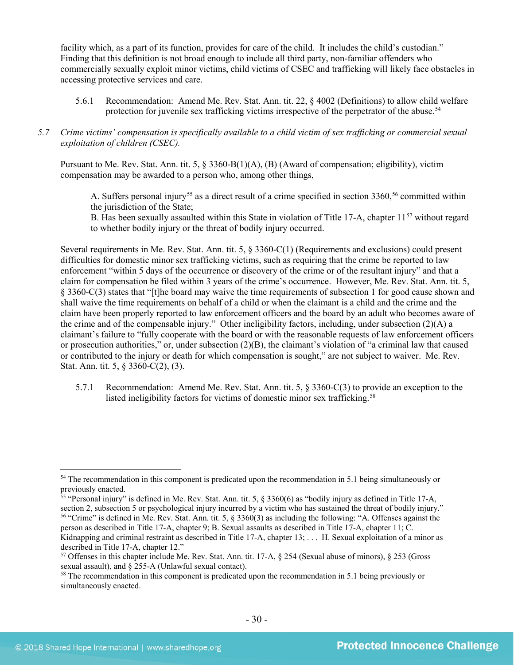facility which, as a part of its function, provides for care of the child. It includes the child's custodian." Finding that this definition is not broad enough to include all third party, non-familiar offenders who commercially sexually exploit minor victims, child victims of CSEC and trafficking will likely face obstacles in accessing protective services and care.

5.6.1 Recommendation: Amend Me. Rev. Stat. Ann. tit. 22, § 4002 (Definitions) to allow child welfare protection for juvenile sex trafficking victims irrespective of the perpetrator of the abuse.<sup>[54](#page-29-0)</sup>

## *5.7 Crime victims' compensation is specifically available to a child victim of sex trafficking or commercial sexual exploitation of children (CSEC).*

Pursuant to Me. Rev. Stat. Ann. tit. 5, § 3360-B(1)(A), (B) (Award of compensation; eligibility), victim compensation may be awarded to a person who, among other things,

A. Suffers personal injury<sup>[55](#page-29-1)</sup> as a direct result of a crime specified in section 3360,<sup>[56](#page-29-2)</sup> committed within the jurisdiction of the State;

B. Has been sexually assaulted within this State in violation of Title 17-A, chapter  $11^{57}$  $11^{57}$  $11^{57}$  without regard to whether bodily injury or the threat of bodily injury occurred.

Several requirements in Me. Rev. Stat. Ann. tit. 5, § 3360-C(1) (Requirements and exclusions) could present difficulties for domestic minor sex trafficking victims, such as requiring that the crime be reported to law enforcement "within 5 days of the occurrence or discovery of the crime or of the resultant injury" and that a claim for compensation be filed within 3 years of the crime's occurrence. However, Me. Rev. Stat. Ann. tit. 5, § 3360-C(3) states that "[t]he board may waive the time requirements of subsection 1 for good cause shown and shall waive the time requirements on behalf of a child or when the claimant is a child and the crime and the claim have been properly reported to law enforcement officers and the board by an adult who becomes aware of the crime and of the compensable injury." Other ineligibility factors, including, under subsection (2)(A) a claimant's failure to "fully cooperate with the board or with the reasonable requests of law enforcement officers or prosecution authorities," or, under subsection  $(2)(B)$ , the claimant's violation of "a criminal law that caused or contributed to the injury or death for which compensation is sought," are not subject to waiver. Me. Rev. Stat. Ann. tit. 5, § 3360-C(2), (3).

5.7.1 Recommendation: Amend Me. Rev. Stat. Ann. tit. 5, § 3360-C(3) to provide an exception to the listed ineligibility factors for victims of domestic minor sex trafficking.<sup>[58](#page-29-4)</sup>

<span id="page-29-2"></span>person as described in Title 17-A, chapter 9; B. Sexual assaults as described in Title 17-A, chapter 11; C.

<span id="page-29-0"></span><sup>&</sup>lt;sup>54</sup> The recommendation in this component is predicated upon the recommendation in 5.1 being simultaneously or previously enacted.

<span id="page-29-1"></span> $55$  "Personal injury" is defined in Me. Rev. Stat. Ann. tit. 5,  $\S$  3360(6) as "bodily injury as defined in Title 17-A, section 2, subsection 5 or psychological injury incurred by a victim who has sustained the threat of bodily injury." <sup>56</sup> "Crime" is defined in Me. Rev. Stat. Ann. tit. 5, § 3360(3) as including the following: "A. Offenses against the

Kidnapping and criminal restraint as described in Title 17-A, chapter 13; ... H. Sexual exploitation of a minor as described in Title 17-A, chapter 12."

<span id="page-29-3"></span><sup>57</sup> Offenses in this chapter include Me. Rev. Stat. Ann. tit. 17-A, § 254 (Sexual abuse of minors), § 253 (Gross sexual assault), and § 255-A (Unlawful sexual contact).

<span id="page-29-4"></span><sup>&</sup>lt;sup>58</sup> The recommendation in this component is predicated upon the recommendation in 5.1 being previously or simultaneously enacted.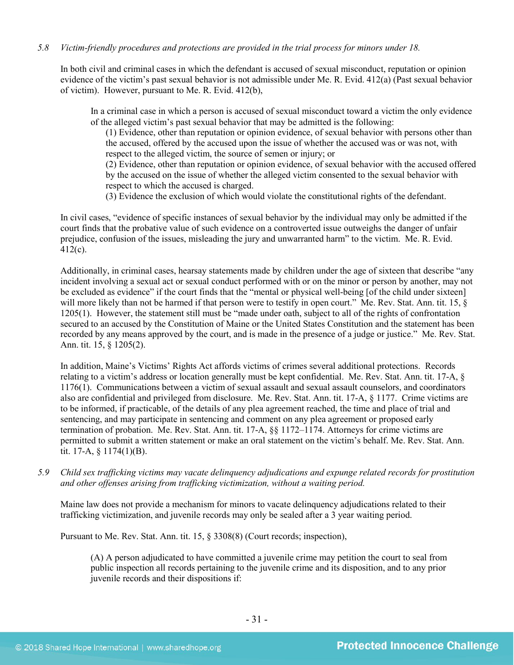## *5.8 Victim-friendly procedures and protections are provided in the trial process for minors under 18.*

In both civil and criminal cases in which the defendant is accused of sexual misconduct, reputation or opinion evidence of the victim's past sexual behavior is not admissible under Me. R. Evid. 412(a) (Past sexual behavior of victim). However, pursuant to Me. R. Evid. 412(b),

In a criminal case in which a person is accused of sexual misconduct toward a victim the only evidence of the alleged victim's past sexual behavior that may be admitted is the following:

(1) Evidence, other than reputation or opinion evidence, of sexual behavior with persons other than the accused, offered by the accused upon the issue of whether the accused was or was not, with respect to the alleged victim, the source of semen or injury; or

(2) Evidence, other than reputation or opinion evidence, of sexual behavior with the accused offered by the accused on the issue of whether the alleged victim consented to the sexual behavior with respect to which the accused is charged.

(3) Evidence the exclusion of which would violate the constitutional rights of the defendant.

In civil cases, "evidence of specific instances of sexual behavior by the individual may only be admitted if the court finds that the probative value of such evidence on a controverted issue outweighs the danger of unfair prejudice, confusion of the issues, misleading the jury and unwarranted harm" to the victim. Me. R. Evid. 412(c).

Additionally, in criminal cases, hearsay statements made by children under the age of sixteen that describe "any incident involving a sexual act or sexual conduct performed with or on the minor or person by another, may not be excluded as evidence" if the court finds that the "mental or physical well-being [of the child under sixteen] will more likely than not be harmed if that person were to testify in open court." Me. Rev. Stat. Ann. tit. 15, § 1205(1). However, the statement still must be "made under oath, subject to all of the rights of confrontation secured to an accused by the Constitution of Maine or the United States Constitution and the statement has been recorded by any means approved by the court, and is made in the presence of a judge or justice." Me. Rev. Stat. Ann. tit. 15, § 1205(2).

In addition, Maine's Victims' Rights Act affords victims of crimes several additional protections. Records relating to a victim's address or location generally must be kept confidential. Me. Rev. Stat. Ann. tit. 17-A, § 1176(1). Communications between a victim of sexual assault and sexual assault counselors, and coordinators also are confidential and privileged from disclosure. Me. Rev. Stat. Ann. tit. 17-A, § 1177. Crime victims are to be informed, if practicable, of the details of any plea agreement reached, the time and place of trial and sentencing, and may participate in sentencing and comment on any plea agreement or proposed early termination of probation. Me. Rev. Stat. Ann. tit. 17-A, §§ 1172–1174. Attorneys for crime victims are permitted to submit a written statement or make an oral statement on the victim's behalf. Me. Rev. Stat. Ann. tit. 17-A, § 1174(1)(B).

*5.9 Child sex trafficking victims may vacate delinquency adjudications and expunge related records for prostitution and other offenses arising from trafficking victimization, without a waiting period.*

Maine law does not provide a mechanism for minors to vacate delinquency adjudications related to their trafficking victimization, and juvenile records may only be sealed after a 3 year waiting period.

Pursuant to Me. Rev. Stat. Ann. tit. 15, § 3308(8) (Court records; inspection),

(A) A person adjudicated to have committed a juvenile crime may petition the court to seal from public inspection all records pertaining to the juvenile crime and its disposition, and to any prior juvenile records and their dispositions if: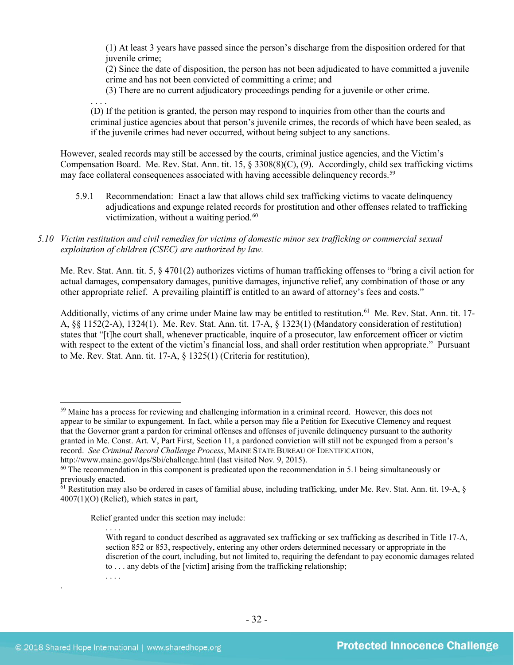(1) At least 3 years have passed since the person's discharge from the disposition ordered for that juvenile crime;

(2) Since the date of disposition, the person has not been adjudicated to have committed a juvenile crime and has not been convicted of committing a crime; and

(3) There are no current adjudicatory proceedings pending for a juvenile or other crime.

. . . . (D) If the petition is granted, the person may respond to inquiries from other than the courts and criminal justice agencies about that person's juvenile crimes, the records of which have been sealed, as if the juvenile crimes had never occurred, without being subject to any sanctions.

However, sealed records may still be accessed by the courts, criminal justice agencies, and the Victim's Compensation Board. Me. Rev. Stat. Ann. tit. 15, § 3308(8)(C), (9). Accordingly, child sex trafficking victims may face collateral consequences associated with having accessible delinquency records.<sup>[59](#page-31-0)</sup>

5.9.1 Recommendation: Enact a law that allows child sex trafficking victims to vacate delinquency adjudications and expunge related records for prostitution and other offenses related to trafficking victimization, without a waiting period.<sup>[60](#page-31-1)</sup>

## *5.10 Victim restitution and civil remedies for victims of domestic minor sex trafficking or commercial sexual exploitation of children (CSEC) are authorized by law.*

Me. Rev. Stat. Ann. tit. 5, § 4701(2) authorizes victims of human trafficking offenses to "bring a civil action for actual damages, compensatory damages, punitive damages, injunctive relief, any combination of those or any other appropriate relief. A prevailing plaintiff is entitled to an award of attorney's fees and costs."

Additionally, victims of any crime under Maine law may be entitled to restitution.<sup>61</sup> Me. Rev. Stat. Ann. tit. 17-A, §§ 1152(2-A), 1324(1). Me. Rev. Stat. Ann. tit. 17-A, § 1323(1) (Mandatory consideration of restitution) states that "[t]he court shall, whenever practicable, inquire of a prosecutor, law enforcement officer or victim with respect to the extent of the victim's financial loss, and shall order restitution when appropriate." Pursuant to Me. Rev. Stat. Ann. tit. 17-A, § 1325(1) (Criteria for restitution),

Relief granted under this section may include:

. . . .

.

. . . .

<span id="page-31-0"></span> <sup>59</sup> Maine has a process for reviewing and challenging information in a criminal record. However, this does not appear to be similar to expungement. In fact, while a person may file a Petition for Executive Clemency and request that the Governor grant a pardon for criminal offenses and offenses of juvenile delinquency pursuant to the authority granted in Me. Const. Art. V, Part First, Section 11, a pardoned conviction will still not be expunged from a person's record. *See Criminal Record Challenge Process*, MAINE STATE BUREAU OF IDENTIFICATION,

http://www.maine.gov/dps/Sbi/challenge.html (last visited Nov. 9, 2015).

<span id="page-31-1"></span><sup>&</sup>lt;sup>60</sup> The recommendation in this component is predicated upon the recommendation in 5.1 being simultaneously or previously enacted.

<span id="page-31-2"></span><sup>&</sup>lt;sup>61</sup> Restitution may also be ordered in cases of familial abuse, including trafficking, under Me. Rev. Stat. Ann. tit. 19-A, § 4007(1)(O) (Relief), which states in part,

With regard to conduct described as aggravated sex trafficking or sex trafficking as described in Title 17-A, section 852 or 853, respectively, entering any other orders determined necessary or appropriate in the discretion of the court, including, but not limited to, requiring the defendant to pay economic damages related to . . . any debts of the [victim] arising from the trafficking relationship;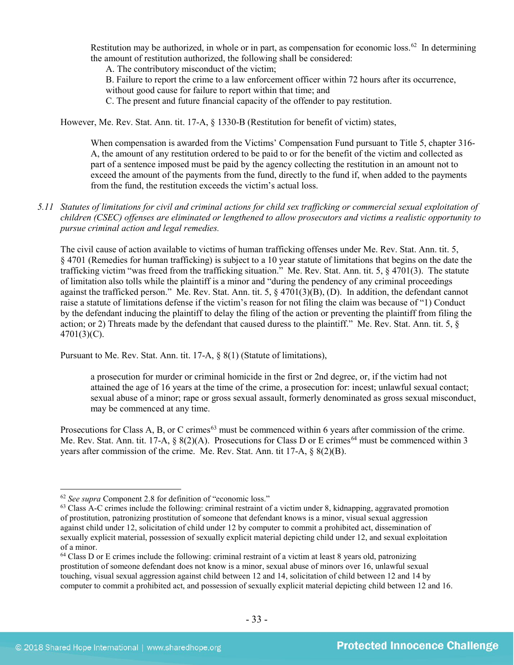Restitution may be authorized, in whole or in part, as compensation for economic loss.<sup>62</sup> In determining the amount of restitution authorized, the following shall be considered:

A. The contributory misconduct of the victim;

B. Failure to report the crime to a law enforcement officer within 72 hours after its occurrence, without good cause for failure to report within that time; and

C. The present and future financial capacity of the offender to pay restitution.

However, Me. Rev. Stat. Ann. tit. 17-A, § 1330-B (Restitution for benefit of victim) states,

When compensation is awarded from the Victims' Compensation Fund pursuant to Title 5, chapter 316- A, the amount of any restitution ordered to be paid to or for the benefit of the victim and collected as part of a sentence imposed must be paid by the agency collecting the restitution in an amount not to exceed the amount of the payments from the fund, directly to the fund if, when added to the payments from the fund, the restitution exceeds the victim's actual loss.

*5.11 Statutes of limitations for civil and criminal actions for child sex trafficking or commercial sexual exploitation of children (CSEC) offenses are eliminated or lengthened to allow prosecutors and victims a realistic opportunity to pursue criminal action and legal remedies.*

The civil cause of action available to victims of human trafficking offenses under Me. Rev. Stat. Ann. tit. 5, § 4701 (Remedies for human trafficking) is subject to a 10 year statute of limitations that begins on the date the trafficking victim "was freed from the trafficking situation." Me. Rev. Stat. Ann. tit. 5, § 4701(3). The statute of limitation also tolls while the plaintiff is a minor and "during the pendency of any criminal proceedings against the trafficked person." Me. Rev. Stat. Ann. tit. 5, § 4701(3)(B), (D). In addition, the defendant cannot raise a statute of limitations defense if the victim's reason for not filing the claim was because of "1) Conduct by the defendant inducing the plaintiff to delay the filing of the action or preventing the plaintiff from filing the action; or 2) Threats made by the defendant that caused duress to the plaintiff." Me. Rev. Stat. Ann. tit. 5, §  $4701(3)(C)$ .

Pursuant to Me. Rev. Stat. Ann. tit. 17-A, § 8(1) (Statute of limitations),

a prosecution for murder or criminal homicide in the first or 2nd degree, or, if the victim had not attained the age of 16 years at the time of the crime, a prosecution for: incest; unlawful sexual contact; sexual abuse of a minor; rape or gross sexual assault, formerly denominated as gross sexual misconduct, may be commenced at any time.

Prosecutions for Class A, B, or C crimes<sup>[63](#page-32-1)</sup> must be commenced within 6 years after commission of the crime. Me. Rev. Stat. Ann. tit. 17-A,  $\S 8(2)(A)$ . Prosecutions for Class D or E crimes<sup>[64](#page-32-2)</sup> must be commenced within 3 years after commission of the crime. Me. Rev. Stat. Ann. tit 17-A, § 8(2)(B).

<span id="page-32-1"></span><span id="page-32-0"></span><sup>&</sup>lt;sup>62</sup> *See supra* Component 2.8 for definition of "economic loss." Class A-C crimes include the following: criminal restraint of a victim under 8, kidnapping, aggravated promotion of prostitution, patronizing prostitution of someone that defendant knows is a minor, visual sexual aggression against child under 12, solicitation of child under 12 by computer to commit a prohibited act, dissemination of sexually explicit material, possession of sexually explicit material depicting child under 12, and sexual exploitation of a minor.

<span id="page-32-2"></span><sup>64</sup> Class D or E crimes include the following: criminal restraint of a victim at least 8 years old, patronizing prostitution of someone defendant does not know is a minor, sexual abuse of minors over 16, unlawful sexual touching, visual sexual aggression against child between 12 and 14, solicitation of child between 12 and 14 by computer to commit a prohibited act, and possession of sexually explicit material depicting child between 12 and 16.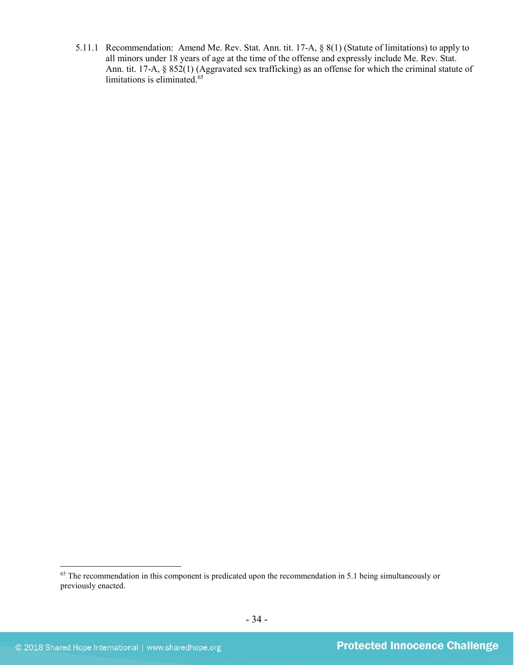5.11.1 Recommendation: Amend Me. Rev. Stat. Ann. tit. 17-A, § 8(1) (Statute of limitations) to apply to all minors under 18 years of age at the time of the offense and expressly include Me. Rev. Stat. Ann. tit. 17-A, § 852(1) (Aggravated sex trafficking) as an offense for which the criminal statute of limitations is eliminated.<sup>[65](#page-33-0)</sup>

<span id="page-33-0"></span><sup>&</sup>lt;sup>65</sup> The recommendation in this component is predicated upon the recommendation in 5.1 being simultaneously or previously enacted.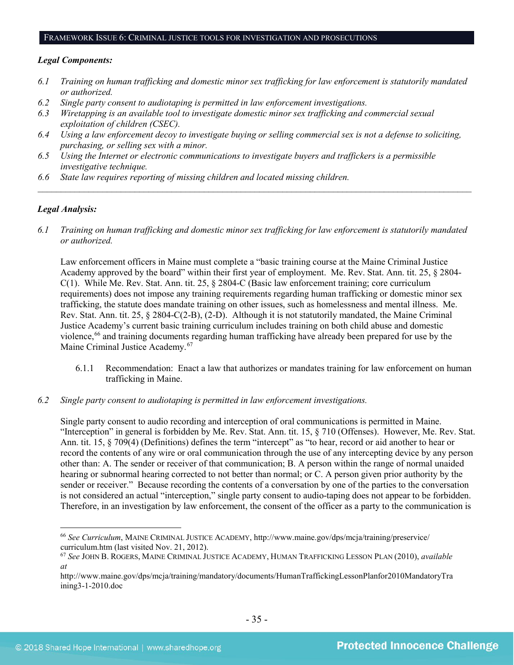#### FRAMEWORK ISSUE 6: CRIMINAL JUSTICE TOOLS FOR INVESTIGATION AND PROSECUTIONS

#### *Legal Components:*

- *6.1 Training on human trafficking and domestic minor sex trafficking for law enforcement is statutorily mandated or authorized.*
- *6.2 Single party consent to audiotaping is permitted in law enforcement investigations.*
- *6.3 Wiretapping is an available tool to investigate domestic minor sex trafficking and commercial sexual exploitation of children (CSEC).*
- *6.4 Using a law enforcement decoy to investigate buying or selling commercial sex is not a defense to soliciting, purchasing, or selling sex with a minor.*
- *6.5 Using the Internet or electronic communications to investigate buyers and traffickers is a permissible investigative technique.*
- *6.6 State law requires reporting of missing children and located missing children.*

## *Legal Analysis:*

*6.1 Training on human trafficking and domestic minor sex trafficking for law enforcement is statutorily mandated or authorized.*

*\_\_\_\_\_\_\_\_\_\_\_\_\_\_\_\_\_\_\_\_\_\_\_\_\_\_\_\_\_\_\_\_\_\_\_\_\_\_\_\_\_\_\_\_\_\_\_\_\_\_\_\_\_\_\_\_\_\_\_\_\_\_\_\_\_\_\_\_\_\_\_\_\_\_\_\_\_\_\_\_\_\_\_\_\_\_\_\_\_\_\_\_\_\_*

Law enforcement officers in Maine must complete a "basic training course at the Maine Criminal Justice Academy approved by the board" within their first year of employment. Me. Rev. Stat. Ann. tit. 25, § 2804- C(1). While Me. Rev. Stat. Ann. tit. 25, § 2804-C (Basic law enforcement training; core curriculum requirements) does not impose any training requirements regarding human trafficking or domestic minor sex trafficking, the statute does mandate training on other issues, such as homelessness and mental illness. Me. Rev. Stat. Ann. tit. 25, § 2804-C(2-B), (2-D). Although it is not statutorily mandated, the Maine Criminal Justice Academy's current basic training curriculum includes training on both child abuse and domestic violence,[66](#page-34-0) and training documents regarding human trafficking have already been prepared for use by the Maine Criminal Justice Academy.<sup>[67](#page-34-1)</sup>

- 6.1.1 Recommendation: Enact a law that authorizes or mandates training for law enforcement on human trafficking in Maine.
- *6.2 Single party consent to audiotaping is permitted in law enforcement investigations.*

Single party consent to audio recording and interception of oral communications is permitted in Maine. "Interception" in general is forbidden by Me. Rev. Stat. Ann. tit. 15, § 710 (Offenses). However, Me. Rev. Stat. Ann. tit. 15, § 709(4) (Definitions) defines the term "intercept" as "to hear, record or aid another to hear or record the contents of any wire or oral communication through the use of any intercepting device by any person other than: A. The sender or receiver of that communication; B. A person within the range of normal unaided hearing or subnormal hearing corrected to not better than normal; or C. A person given prior authority by the sender or receiver." Because recording the contents of a conversation by one of the parties to the conversation is not considered an actual "interception," single party consent to audio-taping does not appear to be forbidden. Therefore, in an investigation by law enforcement, the consent of the officer as a party to the communication is

<span id="page-34-0"></span> <sup>66</sup> *See Curriculum*, MAINE CRIMINAL JUSTICE ACADEMY, http://www.maine.gov/dps/mcja/training/preservice/ curriculum.htm (last visited Nov. 21, 2012).

<span id="page-34-1"></span><sup>67</sup> *See* JOHN B. ROGERS, MAINE CRIMINAL JUSTICE ACADEMY, HUMAN TRAFFICKING LESSON PLAN (2010), *available at*

http://www.maine.gov/dps/mcja/training/mandatory/documents/HumanTraffickingLessonPlanfor2010MandatoryTra ining3-1-2010.doc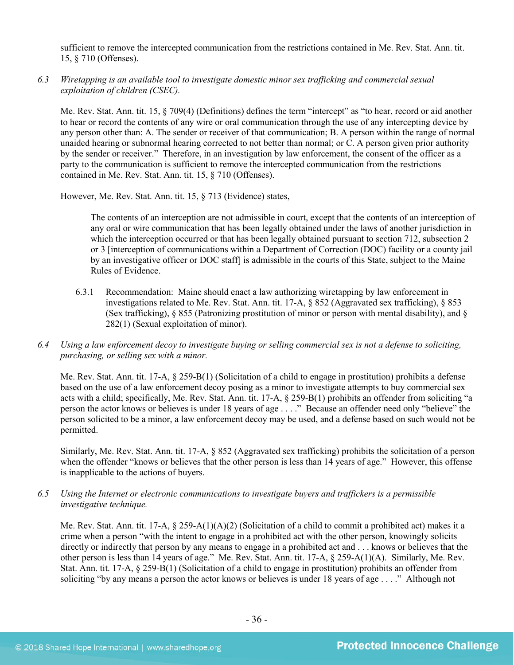sufficient to remove the intercepted communication from the restrictions contained in Me. Rev. Stat. Ann. tit. 15, § 710 (Offenses).

*6.3 Wiretapping is an available tool to investigate domestic minor sex trafficking and commercial sexual exploitation of children (CSEC).* 

Me. Rev. Stat. Ann. tit. 15, § 709(4) (Definitions) defines the term "intercept" as "to hear, record or aid another to hear or record the contents of any wire or oral communication through the use of any intercepting device by any person other than: A. The sender or receiver of that communication; B. A person within the range of normal unaided hearing or subnormal hearing corrected to not better than normal; or C. A person given prior authority by the sender or receiver." Therefore, in an investigation by law enforcement, the consent of the officer as a party to the communication is sufficient to remove the intercepted communication from the restrictions contained in Me. Rev. Stat. Ann. tit. 15, § 710 (Offenses).

However, Me. Rev. Stat. Ann. tit. 15, § 713 (Evidence) states,

The contents of an interception are not admissible in court, except that the contents of an interception of any oral or wire communication that has been legally obtained under the laws of another jurisdiction in which the interception occurred or that has been legally obtained pursuant to section 712, subsection 2 or 3 [interception of communications within a Department of Correction (DOC) facility or a county jail by an investigative officer or DOC staff] is admissible in the courts of this State, subject to the Maine Rules of Evidence.

- 6.3.1 Recommendation: Maine should enact a law authorizing wiretapping by law enforcement in investigations related to Me. Rev. Stat. Ann. tit. 17-A, § 852 (Aggravated sex trafficking), § 853 (Sex trafficking), § 855 (Patronizing prostitution of minor or person with mental disability), and § 282(1) (Sexual exploitation of minor).
- *6.4 Using a law enforcement decoy to investigate buying or selling commercial sex is not a defense to soliciting, purchasing, or selling sex with a minor.*

Me. Rev. Stat. Ann. tit. 17-A, § 259-B(1) (Solicitation of a child to engage in prostitution) prohibits a defense based on the use of a law enforcement decoy posing as a minor to investigate attempts to buy commercial sex acts with a child; specifically, Me. Rev. Stat. Ann. tit. 17-A, § 259-B(1) prohibits an offender from soliciting "a person the actor knows or believes is under 18 years of age . . . ." Because an offender need only "believe" the person solicited to be a minor, a law enforcement decoy may be used, and a defense based on such would not be permitted.

Similarly, Me. Rev. Stat. Ann. tit. 17-A, § 852 (Aggravated sex trafficking) prohibits the solicitation of a person when the offender "knows or believes that the other person is less than 14 years of age." However, this offense is inapplicable to the actions of buyers.

*6.5 Using the Internet or electronic communications to investigate buyers and traffickers is a permissible investigative technique.*

Me. Rev. Stat. Ann. tit. 17-A,  $\S 259-A(1)(A)(2)$  (Solicitation of a child to commit a prohibited act) makes it a crime when a person "with the intent to engage in a prohibited act with the other person, knowingly solicits directly or indirectly that person by any means to engage in a prohibited act and . . . knows or believes that the other person is less than 14 years of age." Me. Rev. Stat. Ann. tit. 17-A, § 259-A(1)(A). Similarly, Me. Rev. Stat. Ann. tit. 17-A, § 259-B(1) (Solicitation of a child to engage in prostitution) prohibits an offender from soliciting "by any means a person the actor knows or believes is under 18 years of age . . . ." Although not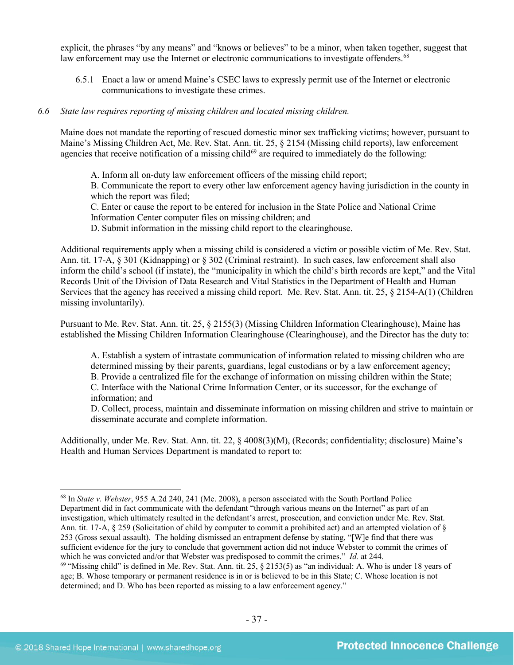explicit, the phrases "by any means" and "knows or believes" to be a minor, when taken together, suggest that law enforcement may use the Internet or electronic communications to investigate offenders.<sup>[68](#page-36-0)</sup>

6.5.1 Enact a law or amend Maine's CSEC laws to expressly permit use of the Internet or electronic communications to investigate these crimes.

#### *6.6 State law requires reporting of missing children and located missing children.*

Maine does not mandate the reporting of rescued domestic minor sex trafficking victims; however, pursuant to Maine's Missing Children Act, Me. Rev. Stat. Ann. tit. 25, § 2154 (Missing child reports), law enforcement agencies that receive notification of a missing child<sup>[69](#page-36-1)</sup> are required to immediately do the following:

A. Inform all on-duty law enforcement officers of the missing child report;

B. Communicate the report to every other law enforcement agency having jurisdiction in the county in which the report was filed;

C. Enter or cause the report to be entered for inclusion in the State Police and National Crime Information Center computer files on missing children; and

D. Submit information in the missing child report to the clearinghouse.

Additional requirements apply when a missing child is considered a victim or possible victim of Me. Rev. Stat. Ann. tit. 17-A, § 301 (Kidnapping) or § 302 (Criminal restraint). In such cases, law enforcement shall also inform the child's school (if instate), the "municipality in which the child's birth records are kept," and the Vital Records Unit of the Division of Data Research and Vital Statistics in the Department of Health and Human Services that the agency has received a missing child report. Me. Rev. Stat. Ann. tit. 25, § 2154-A(1) (Children missing involuntarily).

Pursuant to Me. Rev. Stat. Ann. tit. 25, § 2155(3) (Missing Children Information Clearinghouse), Maine has established the Missing Children Information Clearinghouse (Clearinghouse), and the Director has the duty to:

A. Establish a system of intrastate communication of information related to missing children who are determined missing by their parents, guardians, legal custodians or by a law enforcement agency; B. Provide a centralized file for the exchange of information on missing children within the State; C. Interface with the National Crime Information Center, or its successor, for the exchange of information; and

D. Collect, process, maintain and disseminate information on missing children and strive to maintain or disseminate accurate and complete information.

Additionally, under Me. Rev. Stat. Ann. tit. 22, § 4008(3)(M), (Records; confidentiality; disclosure) Maine's Health and Human Services Department is mandated to report to:

<span id="page-36-0"></span> <sup>68</sup> In *State v. Webster*, 955 A.2d 240, 241 (Me. 2008), a person associated with the South Portland Police Department did in fact communicate with the defendant "through various means on the Internet" as part of an investigation, which ultimately resulted in the defendant's arrest, prosecution, and conviction under Me. Rev. Stat. Ann. tit. 17-A,  $\S 259$  (Solicitation of child by computer to commit a prohibited act) and an attempted violation of  $\S$ 253 (Gross sexual assault). The holding dismissed an entrapment defense by stating, "[W]e find that there was sufficient evidence for the jury to conclude that government action did not induce Webster to commit the crimes of which he was convicted and/or that Webster was predisposed to commit the crimes." *Id.* at 244.

<span id="page-36-1"></span><sup>69</sup> "Missing child" is defined in Me. Rev. Stat. Ann. tit. 25, § 2153(5) as "an individual: A. Who is under 18 years of age; B. Whose temporary or permanent residence is in or is believed to be in this State; C. Whose location is not determined; and D. Who has been reported as missing to a law enforcement agency."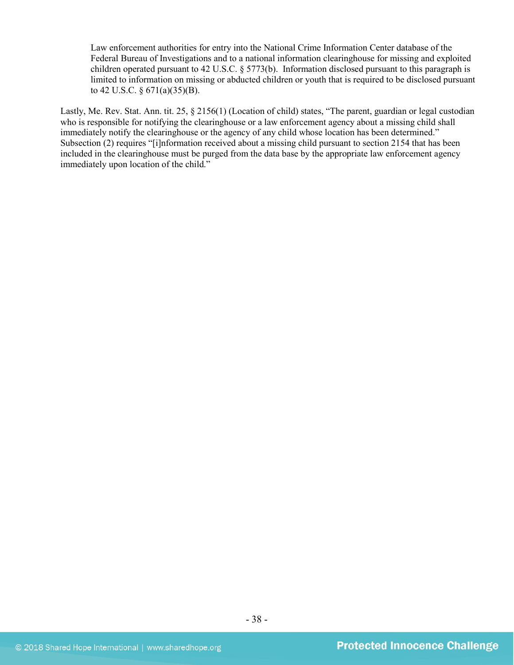Law enforcement authorities for entry into the National Crime Information Center database of the Federal Bureau of Investigations and to a national information clearinghouse for missing and exploited children operated pursuant to 42 U.S.C. § 5773(b). Information disclosed pursuant to this paragraph is limited to information on missing or abducted children or youth that is required to be disclosed pursuant to 42 U.S.C. § 671(a)(35)(B).

Lastly, Me. Rev. Stat. Ann. tit. 25, § 2156(1) (Location of child) states, "The parent, guardian or legal custodian who is responsible for notifying the clearinghouse or a law enforcement agency about a missing child shall immediately notify the clearinghouse or the agency of any child whose location has been determined." Subsection (2) requires "[i]nformation received about a missing child pursuant to section 2154 that has been included in the clearinghouse must be purged from the data base by the appropriate law enforcement agency immediately upon location of the child."